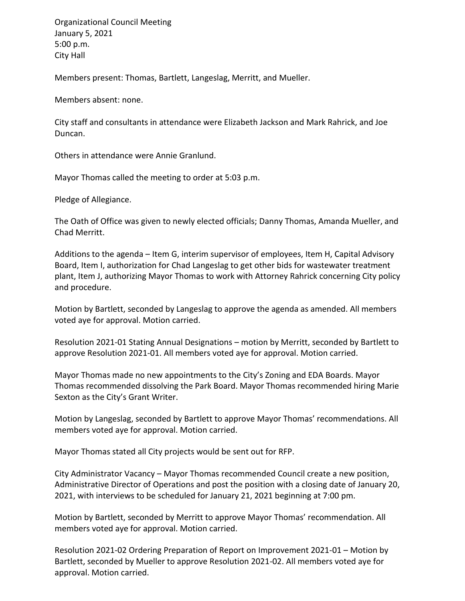Organizational Council Meeting January 5, 2021 5:00 p.m. City Hall

Members present: Thomas, Bartlett, Langeslag, Merritt, and Mueller.

Members absent: none.

City staff and consultants in attendance were Elizabeth Jackson and Mark Rahrick, and Joe Duncan.

Others in attendance were Annie Granlund.

Mayor Thomas called the meeting to order at 5:03 p.m.

Pledge of Allegiance.

The Oath of Office was given to newly elected officials; Danny Thomas, Amanda Mueller, and Chad Merritt.

Additions to the agenda – Item G, interim supervisor of employees, Item H, Capital Advisory Board, Item I, authorization for Chad Langeslag to get other bids for wastewater treatment plant, Item J, authorizing Mayor Thomas to work with Attorney Rahrick concerning City policy and procedure.

Motion by Bartlett, seconded by Langeslag to approve the agenda as amended. All members voted aye for approval. Motion carried.

Resolution 2021-01 Stating Annual Designations – motion by Merritt, seconded by Bartlett to approve Resolution 2021-01. All members voted aye for approval. Motion carried.

Mayor Thomas made no new appointments to the City's Zoning and EDA Boards. Mayor Thomas recommended dissolving the Park Board. Mayor Thomas recommended hiring Marie Sexton as the City's Grant Writer.

Motion by Langeslag, seconded by Bartlett to approve Mayor Thomas' recommendations. All members voted aye for approval. Motion carried.

Mayor Thomas stated all City projects would be sent out for RFP.

City Administrator Vacancy – Mayor Thomas recommended Council create a new position, Administrative Director of Operations and post the position with a closing date of January 20, 2021, with interviews to be scheduled for January 21, 2021 beginning at 7:00 pm.

Motion by Bartlett, seconded by Merritt to approve Mayor Thomas' recommendation. All members voted aye for approval. Motion carried.

Resolution 2021-02 Ordering Preparation of Report on Improvement 2021-01 – Motion by Bartlett, seconded by Mueller to approve Resolution 2021-02. All members voted aye for approval. Motion carried.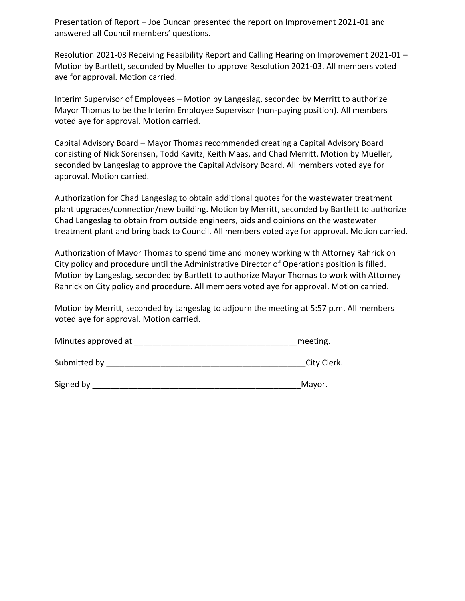Presentation of Report – Joe Duncan presented the report on Improvement 2021-01 and answered all Council members' questions.

Resolution 2021-03 Receiving Feasibility Report and Calling Hearing on Improvement 2021-01 – Motion by Bartlett, seconded by Mueller to approve Resolution 2021-03. All members voted aye for approval. Motion carried.

Interim Supervisor of Employees – Motion by Langeslag, seconded by Merritt to authorize Mayor Thomas to be the Interim Employee Supervisor (non-paying position). All members voted aye for approval. Motion carried.

Capital Advisory Board – Mayor Thomas recommended creating a Capital Advisory Board consisting of Nick Sorensen, Todd Kavitz, Keith Maas, and Chad Merritt. Motion by Mueller, seconded by Langeslag to approve the Capital Advisory Board. All members voted aye for approval. Motion carried.

Authorization for Chad Langeslag to obtain additional quotes for the wastewater treatment plant upgrades/connection/new building. Motion by Merritt, seconded by Bartlett to authorize Chad Langeslag to obtain from outside engineers, bids and opinions on the wastewater treatment plant and bring back to Council. All members voted aye for approval. Motion carried.

Authorization of Mayor Thomas to spend time and money working with Attorney Rahrick on City policy and procedure until the Administrative Director of Operations position is filled. Motion by Langeslag, seconded by Bartlett to authorize Mayor Thomas to work with Attorney Rahrick on City policy and procedure. All members voted aye for approval. Motion carried.

Motion by Merritt, seconded by Langeslag to adjourn the meeting at 5:57 p.m. All members voted aye for approval. Motion carried.

| Minutes approved at | meeting. |
|---------------------|----------|
|---------------------|----------|

Submitted by \_\_\_\_\_\_\_\_\_\_\_\_\_\_\_\_\_\_\_\_\_\_\_\_\_\_\_\_\_\_\_\_\_\_\_\_\_\_\_\_\_\_\_\_City Clerk.

| Signed by | Mavor |
|-----------|-------|
|           |       |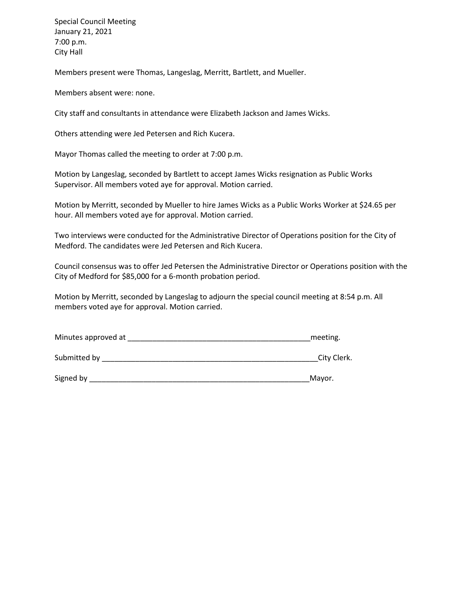Special Council Meeting January 21, 2021 7:00 p.m. City Hall

Members present were Thomas, Langeslag, Merritt, Bartlett, and Mueller.

Members absent were: none.

City staff and consultants in attendance were Elizabeth Jackson and James Wicks.

Others attending were Jed Petersen and Rich Kucera.

Mayor Thomas called the meeting to order at 7:00 p.m.

Motion by Langeslag, seconded by Bartlett to accept James Wicks resignation as Public Works Supervisor. All members voted aye for approval. Motion carried.

Motion by Merritt, seconded by Mueller to hire James Wicks as a Public Works Worker at \$24.65 per hour. All members voted aye for approval. Motion carried.

Two interviews were conducted for the Administrative Director of Operations position for the City of Medford. The candidates were Jed Petersen and Rich Kucera.

Council consensus was to offer Jed Petersen the Administrative Director or Operations position with the City of Medford for \$85,000 for a 6-month probation period.

Motion by Merritt, seconded by Langeslag to adjourn the special council meeting at 8:54 p.m. All members voted aye for approval. Motion carried.

| Minutes approved at |  | meeting. |
|---------------------|--|----------|
|---------------------|--|----------|

Submitted by \_\_\_\_\_\_\_\_\_\_\_\_\_\_\_\_\_\_\_\_\_\_\_\_\_\_\_\_\_\_\_\_\_\_\_\_\_\_\_\_\_\_\_\_\_\_\_\_\_\_\_\_City Clerk.

Signed by \_\_\_\_\_\_\_\_\_\_\_\_\_\_\_\_\_\_\_\_\_\_\_\_\_\_\_\_\_\_\_\_\_\_\_\_\_\_\_\_\_\_\_\_\_\_\_\_\_\_\_\_\_Mayor.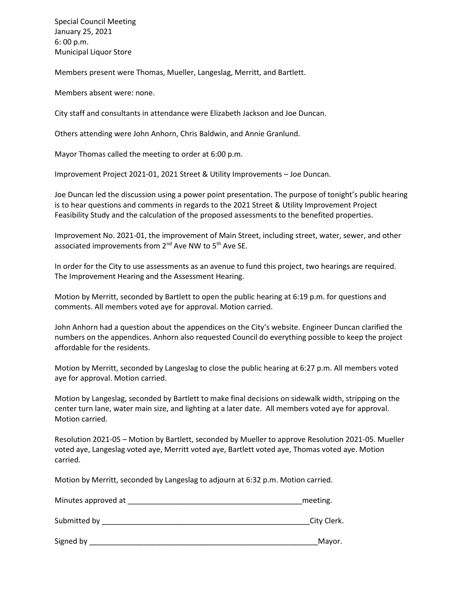Special Council Meeting January 25, 2021 6: 00 p.m. Municipal Liquor Store

Members present were Thomas, Mueller, Langeslag, Merritt, and Bartlett.

Members absent were: none.

City staff and consultants in attendance were Elizabeth Jackson and Joe Duncan.

Others attending were John Anhorn, Chris Baldwin, and Annie Granlund.

Mayor Thomas called the meeting to order at 6:00 p.m.

Improvement Project 2021-01, 2021 Street & Utility Improvements – Joe Duncan.

Joe Duncan led the discussion using a power point presentation. The purpose of tonight's public hearing is to hear questions and comments in regards to the 2021 Street & Utility Improvement Project Feasibility Study and the calculation of the proposed assessments to the benefited properties.

Improvement No. 2021-01, the improvement of Main Street, including street, water, sewer, and other associated improvements from 2<sup>nd</sup> Ave NW to 5<sup>th</sup> Ave SE.

In order for the City to use assessments as an avenue to fund this project, two hearings are required. The Improvement Hearing and the Assessment Hearing.

Motion by Merritt, seconded by Bartlett to open the public hearing at 6:19 p.m. for questions and comments. All members voted aye for approval. Motion carried.

John Anhorn had a question about the appendices on the City's website. Engineer Duncan clarified the numbers on the appendices. Anhorn also requested Council do everything possible to keep the project affordable for the residents.

Motion by Merritt, seconded by Langeslag to close the public hearing at 6:27 p.m. All members voted aye for approval. Motion carried.

Motion by Langeslag, seconded by Bartlett to make final decisions on sidewalk width, stripping on the center turn lane, water main size, and lighting at a later date. All members voted aye for approval. Motion carried.

Resolution 2021-05 – Motion by Bartlett, seconded by Mueller to approve Resolution 2021-05. Mueller voted aye, Langeslag voted aye, Merritt voted aye, Bartlett voted aye, Thomas voted aye. Motion carried.

Motion by Merritt, seconded by Langeslag to adjourn at 6:32 p.m. Motion carried.

| Minutes approved at | meeting.    |  |  |
|---------------------|-------------|--|--|
| Submitted by        | City Clerk. |  |  |
| Signed by           | Mayor.      |  |  |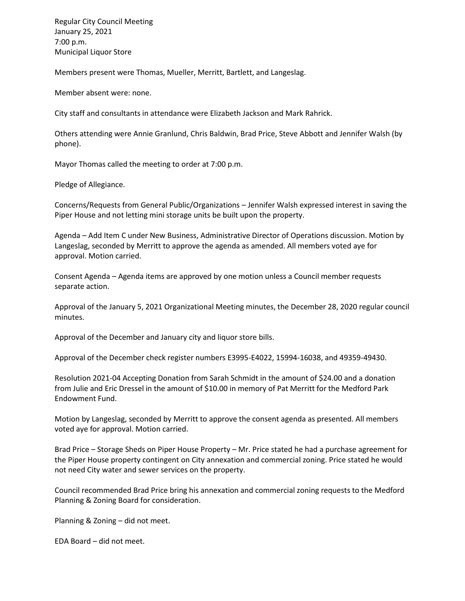Regular City Council Meeting January 25, 2021 7:00 p.m. Municipal Liquor Store

Members present were Thomas, Mueller, Merritt, Bartlett, and Langeslag.

Member absent were: none.

City staff and consultants in attendance were Elizabeth Jackson and Mark Rahrick.

Others attending were Annie Granlund, Chris Baldwin, Brad Price, Steve Abbott and Jennifer Walsh (by phone).

Mayor Thomas called the meeting to order at 7:00 p.m.

Pledge of Allegiance.

Concerns/Requests from General Public/Organizations – Jennifer Walsh expressed interest in saving the Piper House and not letting mini storage units be built upon the property.

Agenda – Add Item C under New Business, Administrative Director of Operations discussion. Motion by Langeslag, seconded by Merritt to approve the agenda as amended. All members voted aye for approval. Motion carried.

Consent Agenda – Agenda items are approved by one motion unless a Council member requests separate action.

Approval of the January 5, 2021 Organizational Meeting minutes, the December 28, 2020 regular council minutes.

Approval of the December and January city and liquor store bills.

Approval of the December check register numbers E3995-E4022, 15994-16038, and 49359-49430.

Resolution 2021-04 Accepting Donation from Sarah Schmidt in the amount of \$24.00 and a donation from Julie and Eric Dressel in the amount of \$10.00 in memory of Pat Merritt for the Medford Park Endowment Fund.

Motion by Langeslag, seconded by Merritt to approve the consent agenda as presented. All members voted aye for approval. Motion carried.

Brad Price – Storage Sheds on Piper House Property – Mr. Price stated he had a purchase agreement for the Piper House property contingent on City annexation and commercial zoning. Price stated he would not need City water and sewer services on the property.

Council recommended Brad Price bring his annexation and commercial zoning requests to the Medford Planning & Zoning Board for consideration.

Planning & Zoning – did not meet.

EDA Board – did not meet.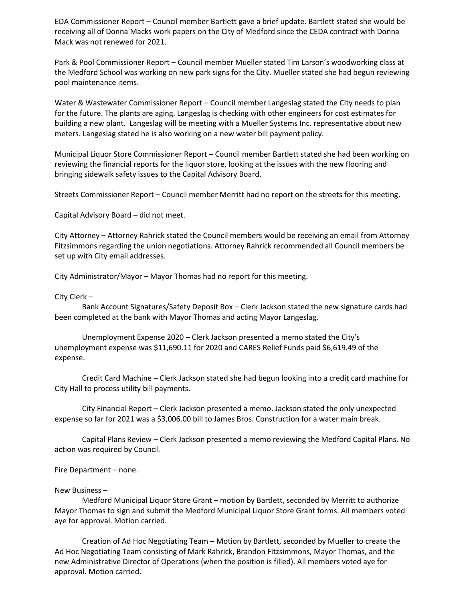EDA Commissioner Report – Council member Bartlett gave a brief update. Bartlett stated she would be receiving all of Donna Macks work papers on the City of Medford since the CEDA contract with Donna Mack was not renewed for 2021.

Park & Pool Commissioner Report – Council member Mueller stated Tim Larson's woodworking class at the Medford School was working on new park signs for the City. Mueller stated she had begun reviewing pool maintenance items.

Water & Wastewater Commissioner Report – Council member Langeslag stated the City needs to plan for the future. The plants are aging. Langeslag is checking with other engineers for cost estimates for building a new plant. Langeslag will be meeting with a Mueller Systems Inc. representative about new meters. Langeslag stated he is also working on a new water bill payment policy.

Municipal Liquor Store Commissioner Report – Council member Bartlett stated she had been working on reviewing the financial reports for the liquor store, looking at the issues with the new flooring and bringing sidewalk safety issues to the Capital Advisory Board.

Streets Commissioner Report – Council member Merritt had no report on the streets for this meeting.

Capital Advisory Board – did not meet.

City Attorney – Attorney Rahrick stated the Council members would be receiving an email from Attorney Fitzsimmons regarding the union negotiations. Attorney Rahrick recommended all Council members be set up with City email addresses.

City Administrator/Mayor – Mayor Thomas had no report for this meeting.

City Clerk –

Bank Account Signatures/Safety Deposit Box – Clerk Jackson stated the new signature cards had been completed at the bank with Mayor Thomas and acting Mayor Langeslag.

Unemployment Expense 2020 – Clerk Jackson presented a memo stated the City's unemployment expense was \$11,690.11 for 2020 and CARES Relief Funds paid \$6,619.49 of the expense.

Credit Card Machine – Clerk Jackson stated she had begun looking into a credit card machine for City Hall to process utility bill payments.

City Financial Report – Clerk Jackson presented a memo. Jackson stated the only unexpected expense so far for 2021 was a \$3,006.00 bill to James Bros. Construction for a water main break.

Capital Plans Review – Clerk Jackson presented a memo reviewing the Medford Capital Plans. No action was required by Council.

Fire Department – none.

## New Business –

Medford Municipal Liquor Store Grant – motion by Bartlett, seconded by Merritt to authorize Mayor Thomas to sign and submit the Medford Municipal Liquor Store Grant forms. All members voted aye for approval. Motion carried.

Creation of Ad Hoc Negotiating Team – Motion by Bartlett, seconded by Mueller to create the Ad Hoc Negotiating Team consisting of Mark Rahrick, Brandon Fitzsimmons, Mayor Thomas, and the new Administrative Director of Operations (when the position is filled). All members voted aye for approval. Motion carried.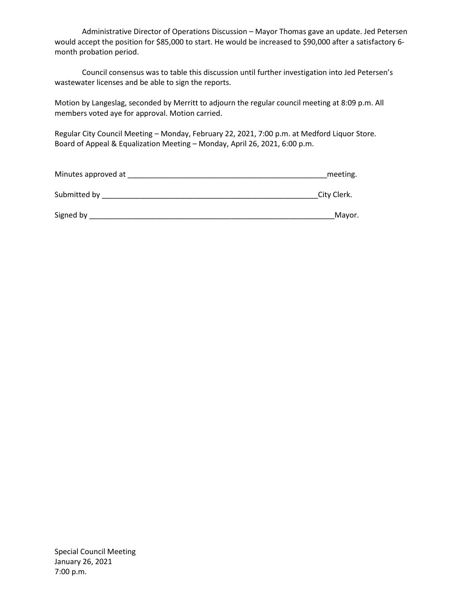Administrative Director of Operations Discussion – Mayor Thomas gave an update. Jed Petersen would accept the position for \$85,000 to start. He would be increased to \$90,000 after a satisfactory 6 month probation period.

Council consensus was to table this discussion until further investigation into Jed Petersen's wastewater licenses and be able to sign the reports.

Motion by Langeslag, seconded by Merritt to adjourn the regular council meeting at 8:09 p.m. All members voted aye for approval. Motion carried.

Regular City Council Meeting – Monday, February 22, 2021, 7:00 p.m. at Medford Liquor Store. Board of Appeal & Equalization Meeting – Monday, April 26, 2021, 6:00 p.m.

| Minutes approved at | meeting.    |  |
|---------------------|-------------|--|
| Submitted by        | City Clerk. |  |
| Signed by           | Mayor.      |  |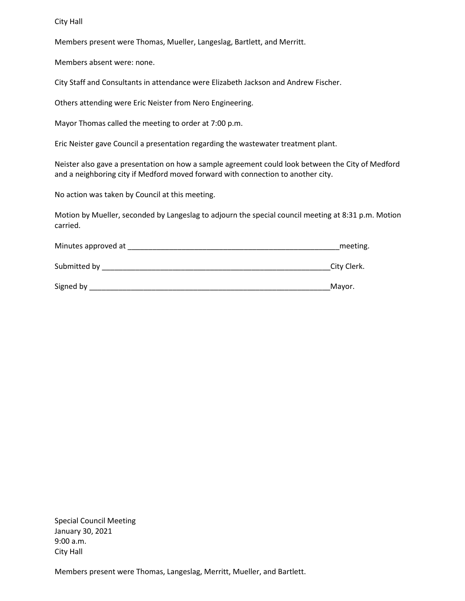City Hall

Members present were Thomas, Mueller, Langeslag, Bartlett, and Merritt.

Members absent were: none.

City Staff and Consultants in attendance were Elizabeth Jackson and Andrew Fischer.

Others attending were Eric Neister from Nero Engineering.

Mayor Thomas called the meeting to order at 7:00 p.m.

Eric Neister gave Council a presentation regarding the wastewater treatment plant.

Neister also gave a presentation on how a sample agreement could look between the City of Medford and a neighboring city if Medford moved forward with connection to another city.

No action was taken by Council at this meeting.

Motion by Mueller, seconded by Langeslag to adjourn the special council meeting at 8:31 p.m. Motion carried.

| Minutes approved at | meeting.    |
|---------------------|-------------|
| Submitted by        | City Clerk. |
| Signed by           | Mayor.      |

Special Council Meeting January 30, 2021 9:00 a.m. City Hall

Members present were Thomas, Langeslag, Merritt, Mueller, and Bartlett.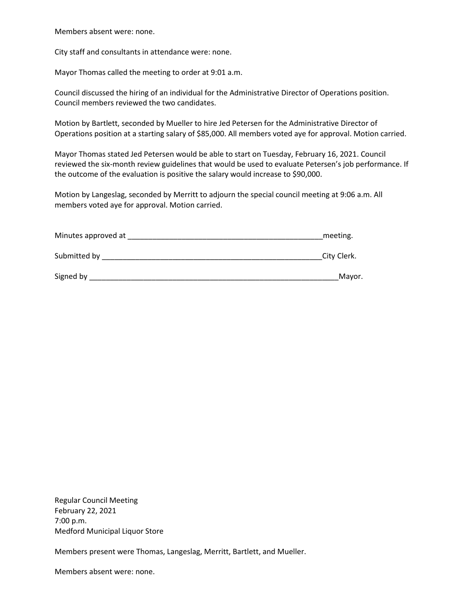Members absent were: none.

City staff and consultants in attendance were: none.

Mayor Thomas called the meeting to order at 9:01 a.m.

Council discussed the hiring of an individual for the Administrative Director of Operations position. Council members reviewed the two candidates.

Motion by Bartlett, seconded by Mueller to hire Jed Petersen for the Administrative Director of Operations position at a starting salary of \$85,000. All members voted aye for approval. Motion carried.

Mayor Thomas stated Jed Petersen would be able to start on Tuesday, February 16, 2021. Council reviewed the six-month review guidelines that would be used to evaluate Petersen's job performance. If the outcome of the evaluation is positive the salary would increase to \$90,000.

Motion by Langeslag, seconded by Merritt to adjourn the special council meeting at 9:06 a.m. All members voted aye for approval. Motion carried.

| Minutes approved at | meeting.    |  |
|---------------------|-------------|--|
| Submitted by        | City Clerk. |  |
| Signed by           | Mayor.      |  |

Regular Council Meeting February 22, 2021 7:00 p.m. Medford Municipal Liquor Store

Members present were Thomas, Langeslag, Merritt, Bartlett, and Mueller.

Members absent were: none.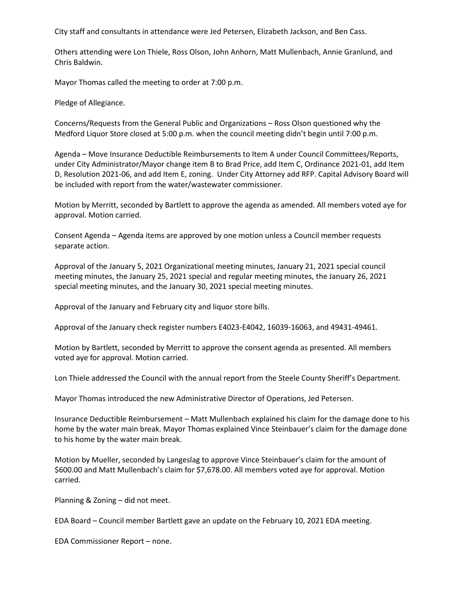City staff and consultants in attendance were Jed Petersen, Elizabeth Jackson, and Ben Cass.

Others attending were Lon Thiele, Ross Olson, John Anhorn, Matt Mullenbach, Annie Granlund, and Chris Baldwin.

Mayor Thomas called the meeting to order at 7:00 p.m.

Pledge of Allegiance.

Concerns/Requests from the General Public and Organizations – Ross Olson questioned why the Medford Liquor Store closed at 5:00 p.m. when the council meeting didn't begin until 7:00 p.m.

Agenda – Move Insurance Deductible Reimbursements to Item A under Council Committees/Reports, under City Administrator/Mayor change item B to Brad Price, add Item C, Ordinance 2021-01, add Item D, Resolution 2021-06, and add Item E, zoning. Under City Attorney add RFP. Capital Advisory Board will be included with report from the water/wastewater commissioner.

Motion by Merritt, seconded by Bartlett to approve the agenda as amended. All members voted aye for approval. Motion carried.

Consent Agenda – Agenda items are approved by one motion unless a Council member requests separate action.

Approval of the January 5, 2021 Organizational meeting minutes, January 21, 2021 special council meeting minutes, the January 25, 2021 special and regular meeting minutes, the January 26, 2021 special meeting minutes, and the January 30, 2021 special meeting minutes.

Approval of the January and February city and liquor store bills.

Approval of the January check register numbers E4023-E4042, 16039-16063, and 49431-49461.

Motion by Bartlett, seconded by Merritt to approve the consent agenda as presented. All members voted aye for approval. Motion carried.

Lon Thiele addressed the Council with the annual report from the Steele County Sheriff's Department.

Mayor Thomas introduced the new Administrative Director of Operations, Jed Petersen.

Insurance Deductible Reimbursement – Matt Mullenbach explained his claim for the damage done to his home by the water main break. Mayor Thomas explained Vince Steinbauer's claim for the damage done to his home by the water main break.

Motion by Mueller, seconded by Langeslag to approve Vince Steinbauer's claim for the amount of \$600.00 and Matt Mullenbach's claim for \$7,678.00. All members voted aye for approval. Motion carried.

Planning & Zoning – did not meet.

EDA Board – Council member Bartlett gave an update on the February 10, 2021 EDA meeting.

EDA Commissioner Report – none.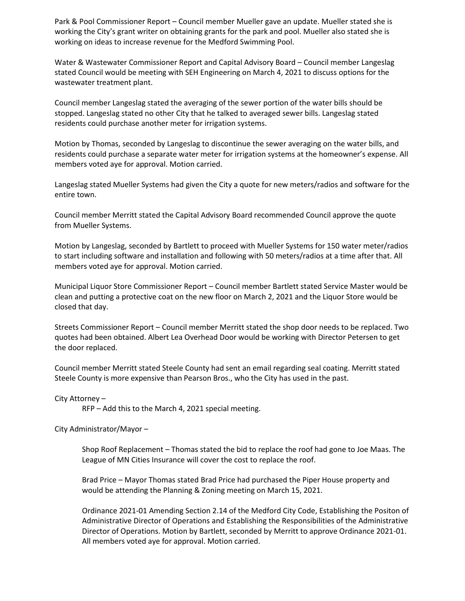Park & Pool Commissioner Report – Council member Mueller gave an update. Mueller stated she is working the City's grant writer on obtaining grants for the park and pool. Mueller also stated she is working on ideas to increase revenue for the Medford Swimming Pool.

Water & Wastewater Commissioner Report and Capital Advisory Board – Council member Langeslag stated Council would be meeting with SEH Engineering on March 4, 2021 to discuss options for the wastewater treatment plant.

Council member Langeslag stated the averaging of the sewer portion of the water bills should be stopped. Langeslag stated no other City that he talked to averaged sewer bills. Langeslag stated residents could purchase another meter for irrigation systems.

Motion by Thomas, seconded by Langeslag to discontinue the sewer averaging on the water bills, and residents could purchase a separate water meter for irrigation systems at the homeowner's expense. All members voted aye for approval. Motion carried.

Langeslag stated Mueller Systems had given the City a quote for new meters/radios and software for the entire town.

Council member Merritt stated the Capital Advisory Board recommended Council approve the quote from Mueller Systems.

Motion by Langeslag, seconded by Bartlett to proceed with Mueller Systems for 150 water meter/radios to start including software and installation and following with 50 meters/radios at a time after that. All members voted aye for approval. Motion carried.

Municipal Liquor Store Commissioner Report – Council member Bartlett stated Service Master would be clean and putting a protective coat on the new floor on March 2, 2021 and the Liquor Store would be closed that day.

Streets Commissioner Report – Council member Merritt stated the shop door needs to be replaced. Two quotes had been obtained. Albert Lea Overhead Door would be working with Director Petersen to get the door replaced.

Council member Merritt stated Steele County had sent an email regarding seal coating. Merritt stated Steele County is more expensive than Pearson Bros., who the City has used in the past.

City Attorney –

RFP – Add this to the March 4, 2021 special meeting.

City Administrator/Mayor –

Shop Roof Replacement – Thomas stated the bid to replace the roof had gone to Joe Maas. The League of MN Cities Insurance will cover the cost to replace the roof.

Brad Price – Mayor Thomas stated Brad Price had purchased the Piper House property and would be attending the Planning & Zoning meeting on March 15, 2021.

Ordinance 2021-01 Amending Section 2.14 of the Medford City Code, Establishing the Positon of Administrative Director of Operations and Establishing the Responsibilities of the Administrative Director of Operations. Motion by Bartlett, seconded by Merritt to approve Ordinance 2021-01. All members voted aye for approval. Motion carried.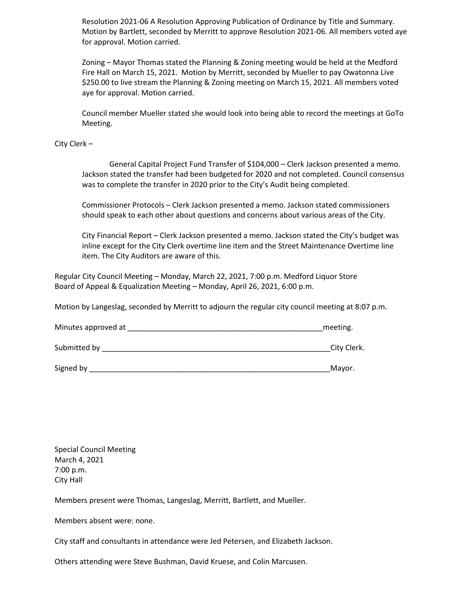Resolution 2021-06 A Resolution Approving Publication of Ordinance by Title and Summary. Motion by Bartlett, seconded by Merritt to approve Resolution 2021-06. All members voted aye for approval. Motion carried.

Zoning – Mayor Thomas stated the Planning & Zoning meeting would be held at the Medford Fire Hall on March 15, 2021. Motion by Merritt, seconded by Mueller to pay Owatonna Live \$250.00 to live stream the Planning & Zoning meeting on March 15, 2021. All members voted aye for approval. Motion carried.

Council member Mueller stated she would look into being able to record the meetings at GoTo Meeting.

City Clerk –

General Capital Project Fund Transfer of \$104,000 – Clerk Jackson presented a memo. Jackson stated the transfer had been budgeted for 2020 and not completed. Council consensus was to complete the transfer in 2020 prior to the City's Audit being completed.

Commissioner Protocols – Clerk Jackson presented a memo. Jackson stated commissioners should speak to each other about questions and concerns about various areas of the City.

City Financial Report – Clerk Jackson presented a memo. Jackson stated the City's budget was inline except for the City Clerk overtime line item and the Street Maintenance Overtime line item. The City Auditors are aware of this.

Regular City Council Meeting – Monday, March 22, 2021, 7:00 p.m. Medford Liquor Store Board of Appeal & Equalization Meeting – Monday, April 26, 2021, 6:00 p.m.

Motion by Langeslag, seconded by Merritt to adjourn the regular city council meeting at 8:07 p.m.

| Minutes approved at | meeting. |
|---------------------|----------|
|---------------------|----------|

Submitted by \_\_\_\_\_\_\_\_\_\_\_\_\_\_\_\_\_\_\_\_\_\_\_\_\_\_\_\_\_\_\_\_\_\_\_\_\_\_\_\_\_\_\_\_\_\_\_\_\_\_\_\_\_\_\_City Clerk.

Signed by **Example 20** Signed by **Example 20** Signed by **Example 20** Signed by **Example 20** Signed by **Example 20** Signed and  $\overline{a}$ 

Special Council Meeting March 4, 2021 7:00 p.m. City Hall

Members present were Thomas, Langeslag, Merritt, Bartlett, and Mueller.

Members absent were: none.

City staff and consultants in attendance were Jed Petersen, and Elizabeth Jackson.

Others attending were Steve Bushman, David Kruese, and Colin Marcusen.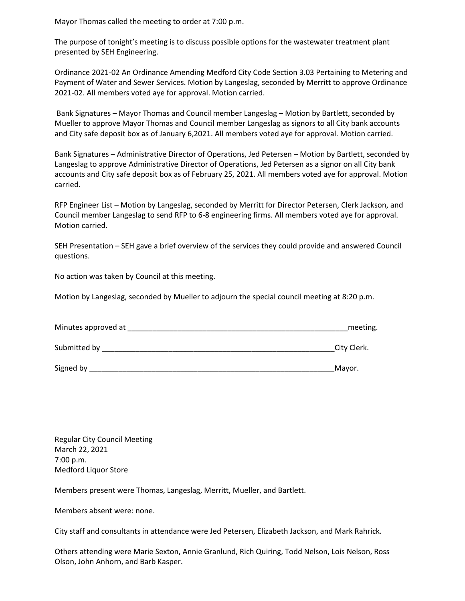Mayor Thomas called the meeting to order at 7:00 p.m.

The purpose of tonight's meeting is to discuss possible options for the wastewater treatment plant presented by SEH Engineering.

Ordinance 2021-02 An Ordinance Amending Medford City Code Section 3.03 Pertaining to Metering and Payment of Water and Sewer Services. Motion by Langeslag, seconded by Merritt to approve Ordinance 2021-02. All members voted aye for approval. Motion carried.

Bank Signatures – Mayor Thomas and Council member Langeslag – Motion by Bartlett, seconded by Mueller to approve Mayor Thomas and Council member Langeslag as signors to all City bank accounts and City safe deposit box as of January 6,2021. All members voted aye for approval. Motion carried.

Bank Signatures – Administrative Director of Operations, Jed Petersen – Motion by Bartlett, seconded by Langeslag to approve Administrative Director of Operations, Jed Petersen as a signor on all City bank accounts and City safe deposit box as of February 25, 2021. All members voted aye for approval. Motion carried.

RFP Engineer List – Motion by Langeslag, seconded by Merritt for Director Petersen, Clerk Jackson, and Council member Langeslag to send RFP to 6-8 engineering firms. All members voted aye for approval. Motion carried.

SEH Presentation – SEH gave a brief overview of the services they could provide and answered Council questions.

No action was taken by Council at this meeting.

Motion by Langeslag, seconded by Mueller to adjourn the special council meeting at 8:20 p.m.

| Minutes approved at | meeting.    |
|---------------------|-------------|
| Submitted by        | City Clerk. |

Signed by **Example 2** and the set of the set of the set of the set of the set of the set of the set of the set of the set of the set of the set of the set of the set of the set of the set of the set of the set of the set o

Regular City Council Meeting March 22, 2021 7:00 p.m. Medford Liquor Store

Members present were Thomas, Langeslag, Merritt, Mueller, and Bartlett.

Members absent were: none.

City staff and consultants in attendance were Jed Petersen, Elizabeth Jackson, and Mark Rahrick.

Others attending were Marie Sexton, Annie Granlund, Rich Quiring, Todd Nelson, Lois Nelson, Ross Olson, John Anhorn, and Barb Kasper.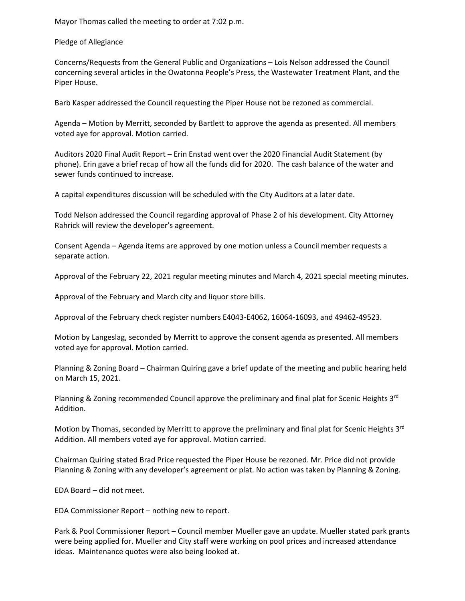Mayor Thomas called the meeting to order at 7:02 p.m.

Pledge of Allegiance

Concerns/Requests from the General Public and Organizations – Lois Nelson addressed the Council concerning several articles in the Owatonna People's Press, the Wastewater Treatment Plant, and the Piper House.

Barb Kasper addressed the Council requesting the Piper House not be rezoned as commercial.

Agenda – Motion by Merritt, seconded by Bartlett to approve the agenda as presented. All members voted aye for approval. Motion carried.

Auditors 2020 Final Audit Report – Erin Enstad went over the 2020 Financial Audit Statement (by phone). Erin gave a brief recap of how all the funds did for 2020. The cash balance of the water and sewer funds continued to increase.

A capital expenditures discussion will be scheduled with the City Auditors at a later date.

Todd Nelson addressed the Council regarding approval of Phase 2 of his development. City Attorney Rahrick will review the developer's agreement.

Consent Agenda – Agenda items are approved by one motion unless a Council member requests a separate action.

Approval of the February 22, 2021 regular meeting minutes and March 4, 2021 special meeting minutes.

Approval of the February and March city and liquor store bills.

Approval of the February check register numbers E4043-E4062, 16064-16093, and 49462-49523.

Motion by Langeslag, seconded by Merritt to approve the consent agenda as presented. All members voted aye for approval. Motion carried.

Planning & Zoning Board – Chairman Quiring gave a brief update of the meeting and public hearing held on March 15, 2021.

Planning & Zoning recommended Council approve the preliminary and final plat for Scenic Heights  $3<sup>rd</sup>$ Addition.

Motion by Thomas, seconded by Merritt to approve the preliminary and final plat for Scenic Heights 3<sup>rd</sup> Addition. All members voted aye for approval. Motion carried.

Chairman Quiring stated Brad Price requested the Piper House be rezoned. Mr. Price did not provide Planning & Zoning with any developer's agreement or plat. No action was taken by Planning & Zoning.

EDA Board – did not meet.

EDA Commissioner Report – nothing new to report.

Park & Pool Commissioner Report – Council member Mueller gave an update. Mueller stated park grants were being applied for. Mueller and City staff were working on pool prices and increased attendance ideas. Maintenance quotes were also being looked at.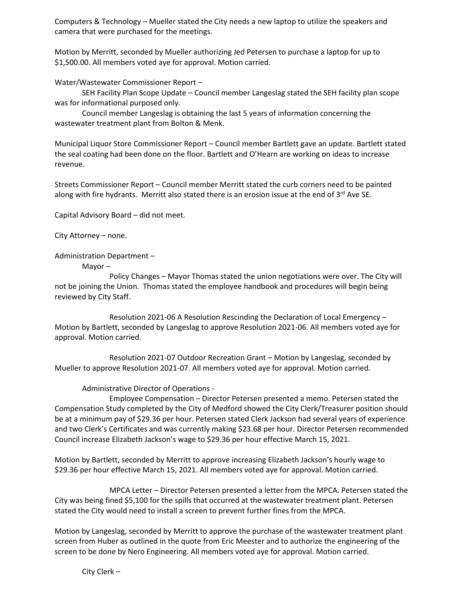Computers & Technology – Mueller stated the City needs a new laptop to utilize the speakers and camera that were purchased for the meetings.

Motion by Merritt, seconded by Mueller authorizing Jed Petersen to purchase a laptop for up to \$1,500.00. All members voted aye for approval. Motion carried.

Water/Wastewater Commissioner Report –

SEH Facility Plan Scope Update – Council member Langeslag stated the SEH facility plan scope was for informational purposed only.

Council member Langeslag is obtaining the last 5 years of information concerning the wastewater treatment plant from Bolton & Menk.

Municipal Liquor Store Commissioner Report – Council member Bartlett gave an update. Bartlett stated the seal coating had been done on the floor. Bartlett and O'Hearn are working on ideas to increase revenue.

Streets Commissioner Report – Council member Merritt stated the curb corners need to be painted along with fire hydrants. Merritt also stated there is an erosion issue at the end of  $3<sup>rd</sup>$  Ave SE.

Capital Advisory Board – did not meet.

City Attorney – none.

Administration Department –

Mayor –

Policy Changes – Mayor Thomas stated the union negotiations were over. The City will not be joining the Union. Thomas stated the employee handbook and procedures will begin being reviewed by City Staff.

Resolution 2021-06 A Resolution Rescinding the Declaration of Local Emergency – Motion by Bartlett, seconded by Langeslag to approve Resolution 2021-06. All members voted aye for approval. Motion carried.

Resolution 2021-07 Outdoor Recreation Grant – Motion by Langeslag, seconded by Mueller to approve Resolution 2021-07. All members voted aye for approval. Motion carried.

Administrative Director of Operations -

Employee Compensation – Director Petersen presented a memo. Petersen stated the Compensation Study completed by the City of Medford showed the City Clerk/Treasurer position should be at a minimum pay of \$29.36 per hour. Petersen stated Clerk Jackson had several years of experience and two Clerk's Certificates and was currently making \$23.68 per hour. Director Petersen recommended Council increase Elizabeth Jackson's wage to \$29.36 per hour effective March 15, 2021.

Motion by Bartlett, seconded by Merritt to approve increasing Elizabeth Jackson's hourly wage to \$29.36 per hour effective March 15, 2021. All members voted aye for approval. Motion carried.

MPCA Letter – Director Petersen presented a letter from the MPCA. Petersen stated the City was being fined \$5,100 for the spills that occurred at the wastewater treatment plant. Petersen stated the City would need to install a screen to prevent further fines from the MPCA.

Motion by Langeslag, seconded by Merritt to approve the purchase of the wastewater treatment plant screen from Huber as outlined in the quote from Eric Meester and to authorize the engineering of the screen to be done by Nero Engineering. All members voted aye for approval. Motion carried.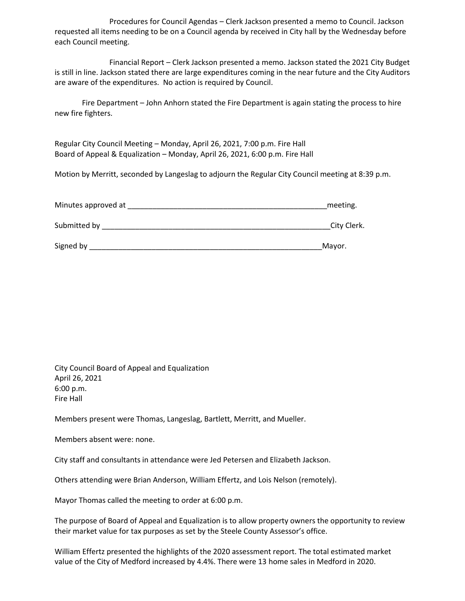Procedures for Council Agendas – Clerk Jackson presented a memo to Council. Jackson requested all items needing to be on a Council agenda by received in City hall by the Wednesday before each Council meeting.

Financial Report – Clerk Jackson presented a memo. Jackson stated the 2021 City Budget is still in line. Jackson stated there are large expenditures coming in the near future and the City Auditors are aware of the expenditures. No action is required by Council.

Fire Department – John Anhorn stated the Fire Department is again stating the process to hire new fire fighters.

Regular City Council Meeting – Monday, April 26, 2021, 7:00 p.m. Fire Hall Board of Appeal & Equalization – Monday, April 26, 2021, 6:00 p.m. Fire Hall

Motion by Merritt, seconded by Langeslag to adjourn the Regular City Council meeting at 8:39 p.m.

| Minutes approved at | meeting.    |
|---------------------|-------------|
| Submitted by        | City Clerk. |
| Signed by           | Mayor.      |

City Council Board of Appeal and Equalization April 26, 2021 6:00 p.m. Fire Hall

Members present were Thomas, Langeslag, Bartlett, Merritt, and Mueller.

Members absent were: none.

City staff and consultants in attendance were Jed Petersen and Elizabeth Jackson.

Others attending were Brian Anderson, William Effertz, and Lois Nelson (remotely).

Mayor Thomas called the meeting to order at 6:00 p.m.

The purpose of Board of Appeal and Equalization is to allow property owners the opportunity to review their market value for tax purposes as set by the Steele County Assessor's office.

William Effertz presented the highlights of the 2020 assessment report. The total estimated market value of the City of Medford increased by 4.4%. There were 13 home sales in Medford in 2020.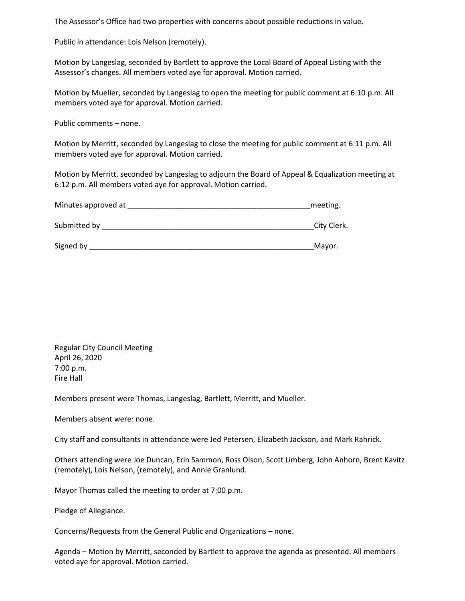The Assessor's Office had two properties with concerns about possible reductions in value.

Public in attendance: Lois Nelson (remotely).

Motion by Langeslag, seconded by Bartlett to approve the Local Board of Appeal Listing with the Assessor's changes. All members voted aye for approval. Motion carried.

Motion by Mueller, seconded by Langeslag to open the meeting for public comment at 6:10 p.m. All members voted aye for approval. Motion carried.

Public comments – none.

Motion by Merritt, seconded by Langeslag to close the meeting for public comment at 6:11 p.m. All members voted aye for approval. Motion carried.

Motion by Merritt, seconded by Langeslag to adjourn the Board of Appeal & Equalization meeting at 6:12 p.m. All members voted aye for approval. Motion carried.

| Minutes approved at | meeting.    |
|---------------------|-------------|
| Submitted by        | City Clerk. |
| Signed by           | Mayor.      |

Regular City Council Meeting April 26, 2020 7:00 p.m. Fire Hall

Members present were Thomas, Langeslag, Bartlett, Merritt, and Mueller.

Members absent were: none.

City staff and consultants in attendance were Jed Petersen, Elizabeth Jackson, and Mark Rahrick.

Others attending were Joe Duncan, Erin Sammon, Ross Olson, Scott Limberg, John Anhorn, Brent Kavitz (remotely), Lois Nelson, (remotely), and Annie Granlund.

Mayor Thomas called the meeting to order at 7:00 p.m.

Pledge of Allegiance.

Concerns/Requests from the General Public and Organizations – none.

Agenda – Motion by Merritt, seconded by Bartlett to approve the agenda as presented. All members voted aye for approval. Motion carried.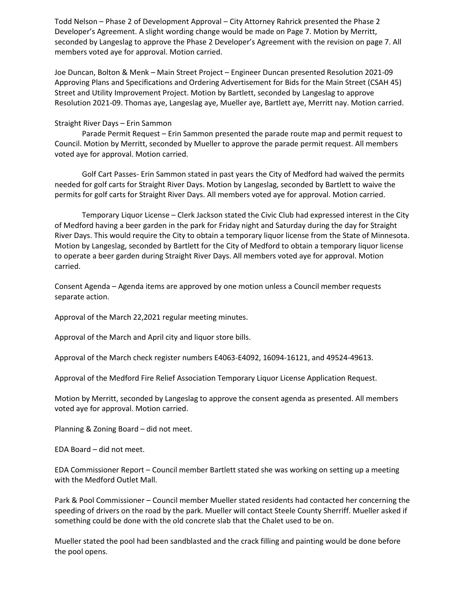Todd Nelson – Phase 2 of Development Approval – City Attorney Rahrick presented the Phase 2 Developer's Agreement. A slight wording change would be made on Page 7. Motion by Merritt, seconded by Langeslag to approve the Phase 2 Developer's Agreement with the revision on page 7. All members voted aye for approval. Motion carried.

Joe Duncan, Bolton & Menk – Main Street Project – Engineer Duncan presented Resolution 2021-09 Approving Plans and Specifications and Ordering Advertisement for Bids for the Main Street (CSAH 45) Street and Utility Improvement Project. Motion by Bartlett, seconded by Langeslag to approve Resolution 2021-09. Thomas aye, Langeslag aye, Mueller aye, Bartlett aye, Merritt nay. Motion carried.

## Straight River Days – Erin Sammon

Parade Permit Request – Erin Sammon presented the parade route map and permit request to Council. Motion by Merritt, seconded by Mueller to approve the parade permit request. All members voted aye for approval. Motion carried.

Golf Cart Passes- Erin Sammon stated in past years the City of Medford had waived the permits needed for golf carts for Straight River Days. Motion by Langeslag, seconded by Bartlett to waive the permits for golf carts for Straight River Days. All members voted aye for approval. Motion carried.

Temporary Liquor License – Clerk Jackson stated the Civic Club had expressed interest in the City of Medford having a beer garden in the park for Friday night and Saturday during the day for Straight River Days. This would require the City to obtain a temporary liquor license from the State of Minnesota. Motion by Langeslag, seconded by Bartlett for the City of Medford to obtain a temporary liquor license to operate a beer garden during Straight River Days. All members voted aye for approval. Motion carried.

Consent Agenda – Agenda items are approved by one motion unless a Council member requests separate action.

Approval of the March 22,2021 regular meeting minutes.

Approval of the March and April city and liquor store bills.

Approval of the March check register numbers E4063-E4092, 16094-16121, and 49524-49613.

Approval of the Medford Fire Relief Association Temporary Liquor License Application Request.

Motion by Merritt, seconded by Langeslag to approve the consent agenda as presented. All members voted aye for approval. Motion carried.

Planning & Zoning Board – did not meet.

EDA Board – did not meet.

EDA Commissioner Report – Council member Bartlett stated she was working on setting up a meeting with the Medford Outlet Mall.

Park & Pool Commissioner – Council member Mueller stated residents had contacted her concerning the speeding of drivers on the road by the park. Mueller will contact Steele County Sherriff. Mueller asked if something could be done with the old concrete slab that the Chalet used to be on.

Mueller stated the pool had been sandblasted and the crack filling and painting would be done before the pool opens.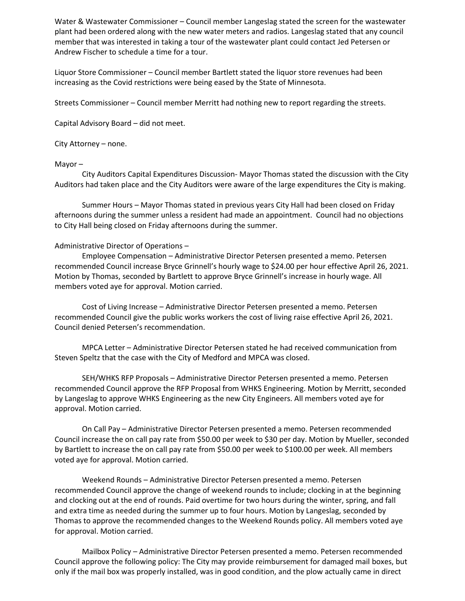Water & Wastewater Commissioner – Council member Langeslag stated the screen for the wastewater plant had been ordered along with the new water meters and radios. Langeslag stated that any council member that was interested in taking a tour of the wastewater plant could contact Jed Petersen or Andrew Fischer to schedule a time for a tour.

Liquor Store Commissioner – Council member Bartlett stated the liquor store revenues had been increasing as the Covid restrictions were being eased by the State of Minnesota.

Streets Commissioner – Council member Merritt had nothing new to report regarding the streets.

Capital Advisory Board – did not meet.

City Attorney – none.

## Mayor –

City Auditors Capital Expenditures Discussion- Mayor Thomas stated the discussion with the City Auditors had taken place and the City Auditors were aware of the large expenditures the City is making.

Summer Hours – Mayor Thomas stated in previous years City Hall had been closed on Friday afternoons during the summer unless a resident had made an appointment. Council had no objections to City Hall being closed on Friday afternoons during the summer.

## Administrative Director of Operations –

Employee Compensation – Administrative Director Petersen presented a memo. Petersen recommended Council increase Bryce Grinnell's hourly wage to \$24.00 per hour effective April 26, 2021. Motion by Thomas, seconded by Bartlett to approve Bryce Grinnell's increase in hourly wage. All members voted aye for approval. Motion carried.

Cost of Living Increase – Administrative Director Petersen presented a memo. Petersen recommended Council give the public works workers the cost of living raise effective April 26, 2021. Council denied Petersen's recommendation.

MPCA Letter – Administrative Director Petersen stated he had received communication from Steven Speltz that the case with the City of Medford and MPCA was closed.

SEH/WHKS RFP Proposals – Administrative Director Petersen presented a memo. Petersen recommended Council approve the RFP Proposal from WHKS Engineering. Motion by Merritt, seconded by Langeslag to approve WHKS Engineering as the new City Engineers. All members voted aye for approval. Motion carried.

On Call Pay – Administrative Director Petersen presented a memo. Petersen recommended Council increase the on call pay rate from \$50.00 per week to \$30 per day. Motion by Mueller, seconded by Bartlett to increase the on call pay rate from \$50.00 per week to \$100.00 per week. All members voted aye for approval. Motion carried.

Weekend Rounds – Administrative Director Petersen presented a memo. Petersen recommended Council approve the change of weekend rounds to include; clocking in at the beginning and clocking out at the end of rounds. Paid overtime for two hours during the winter, spring, and fall and extra time as needed during the summer up to four hours. Motion by Langeslag, seconded by Thomas to approve the recommended changes to the Weekend Rounds policy. All members voted aye for approval. Motion carried.

Mailbox Policy – Administrative Director Petersen presented a memo. Petersen recommended Council approve the following policy: The City may provide reimbursement for damaged mail boxes, but only if the mail box was properly installed, was in good condition, and the plow actually came in direct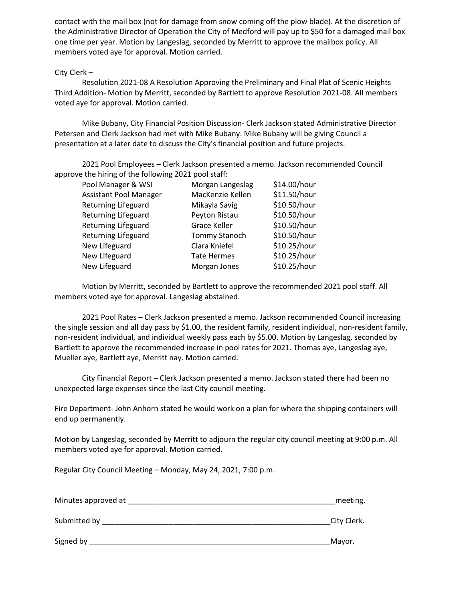contact with the mail box (not for damage from snow coming off the plow blade). At the discretion of the Administrative Director of Operation the City of Medford will pay up to \$50 for a damaged mail box one time per year. Motion by Langeslag, seconded by Merritt to approve the mailbox policy. All members voted aye for approval. Motion carried.

# City Clerk –

Resolution 2021-08 A Resolution Approving the Preliminary and Final Plat of Scenic Heights Third Addition- Motion by Merritt, seconded by Bartlett to approve Resolution 2021-08. All members voted aye for approval. Motion carried.

Mike Bubany, City Financial Position Discussion- Clerk Jackson stated Administrative Director Petersen and Clerk Jackson had met with Mike Bubany. Mike Bubany will be giving Council a presentation at a later date to discuss the City's financial position and future projects.

2021 Pool Employees – Clerk Jackson presented a memo. Jackson recommended Council approve the hiring of the following 2021 pool staff:

| Pool Manager & WSI            | Morgan Langeslag     | \$14.00/hour |
|-------------------------------|----------------------|--------------|
| <b>Assistant Pool Manager</b> | MacKenzie Kellen     | \$11.50/hour |
| Returning Lifeguard           | Mikayla Savig        | \$10.50/hour |
| <b>Returning Lifeguard</b>    | Peyton Ristau        | \$10.50/hour |
| <b>Returning Lifeguard</b>    | <b>Grace Keller</b>  | \$10.50/hour |
| <b>Returning Lifeguard</b>    | <b>Tommy Stanoch</b> | \$10.50/hour |
| New Lifeguard                 | Clara Kniefel        | \$10.25/hour |
| New Lifeguard                 | <b>Tate Hermes</b>   | \$10.25/hour |
| New Lifeguard                 | Morgan Jones         | \$10.25/hour |
|                               |                      |              |

Motion by Merritt, seconded by Bartlett to approve the recommended 2021 pool staff. All members voted aye for approval. Langeslag abstained.

2021 Pool Rates – Clerk Jackson presented a memo. Jackson recommended Council increasing the single session and all day pass by \$1.00, the resident family, resident individual, non-resident family, non-resident individual, and individual weekly pass each by \$5.00. Motion by Langeslag, seconded by Bartlett to approve the recommended increase in pool rates for 2021. Thomas aye, Langeslag aye, Mueller aye, Bartlett aye, Merritt nay. Motion carried.

City Financial Report – Clerk Jackson presented a memo. Jackson stated there had been no unexpected large expenses since the last City council meeting.

Fire Department- John Anhorn stated he would work on a plan for where the shipping containers will end up permanently.

Motion by Langeslag, seconded by Merritt to adjourn the regular city council meeting at 9:00 p.m. All members voted aye for approval. Motion carried.

Regular City Council Meeting – Monday, May 24, 2021, 7:00 p.m.

| Minutes approved at | meeting.    |
|---------------------|-------------|
| Submitted by        | City Clerk. |
| Signed by           | Mayor.      |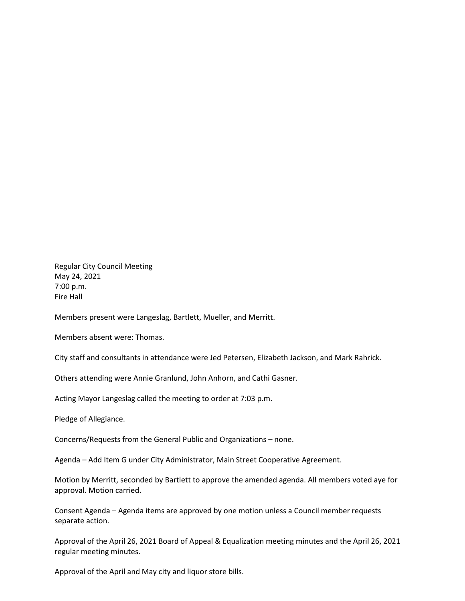Regular City Council Meeting May 24, 2021 7:00 p.m. Fire Hall

Members present were Langeslag, Bartlett, Mueller, and Merritt.

Members absent were: Thomas.

City staff and consultants in attendance were Jed Petersen, Elizabeth Jackson, and Mark Rahrick.

Others attending were Annie Granlund, John Anhorn, and Cathi Gasner.

Acting Mayor Langeslag called the meeting to order at 7:03 p.m.

Pledge of Allegiance.

Concerns/Requests from the General Public and Organizations – none.

Agenda – Add Item G under City Administrator, Main Street Cooperative Agreement.

Motion by Merritt, seconded by Bartlett to approve the amended agenda. All members voted aye for approval. Motion carried.

Consent Agenda – Agenda items are approved by one motion unless a Council member requests separate action.

Approval of the April 26, 2021 Board of Appeal & Equalization meeting minutes and the April 26, 2021 regular meeting minutes.

Approval of the April and May city and liquor store bills.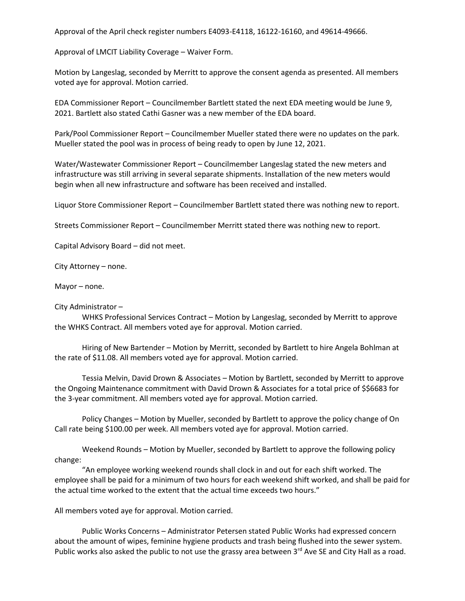Approval of the April check register numbers E4093-E4118, 16122-16160, and 49614-49666.

Approval of LMCIT Liability Coverage – Waiver Form.

Motion by Langeslag, seconded by Merritt to approve the consent agenda as presented. All members voted aye for approval. Motion carried.

EDA Commissioner Report – Councilmember Bartlett stated the next EDA meeting would be June 9, 2021. Bartlett also stated Cathi Gasner was a new member of the EDA board.

Park/Pool Commissioner Report – Councilmember Mueller stated there were no updates on the park. Mueller stated the pool was in process of being ready to open by June 12, 2021.

Water/Wastewater Commissioner Report – Councilmember Langeslag stated the new meters and infrastructure was still arriving in several separate shipments. Installation of the new meters would begin when all new infrastructure and software has been received and installed.

Liquor Store Commissioner Report – Councilmember Bartlett stated there was nothing new to report.

Streets Commissioner Report – Councilmember Merritt stated there was nothing new to report.

Capital Advisory Board – did not meet.

City Attorney – none.

Mayor – none.

## City Administrator –

WHKS Professional Services Contract – Motion by Langeslag, seconded by Merritt to approve the WHKS Contract. All members voted aye for approval. Motion carried.

Hiring of New Bartender – Motion by Merritt, seconded by Bartlett to hire Angela Bohlman at the rate of \$11.08. All members voted aye for approval. Motion carried.

Tessia Melvin, David Drown & Associates – Motion by Bartlett, seconded by Merritt to approve the Ongoing Maintenance commitment with David Drown & Associates for a total price of \$\$6683 for the 3-year commitment. All members voted aye for approval. Motion carried.

Policy Changes – Motion by Mueller, seconded by Bartlett to approve the policy change of On Call rate being \$100.00 per week. All members voted aye for approval. Motion carried.

Weekend Rounds – Motion by Mueller, seconded by Bartlett to approve the following policy change:

"An employee working weekend rounds shall clock in and out for each shift worked. The employee shall be paid for a minimum of two hours for each weekend shift worked, and shall be paid for the actual time worked to the extent that the actual time exceeds two hours."

All members voted aye for approval. Motion carried.

Public Works Concerns – Administrator Petersen stated Public Works had expressed concern about the amount of wipes, feminine hygiene products and trash being flushed into the sewer system. Public works also asked the public to not use the grassy area between 3rd Ave SE and City Hall as a road.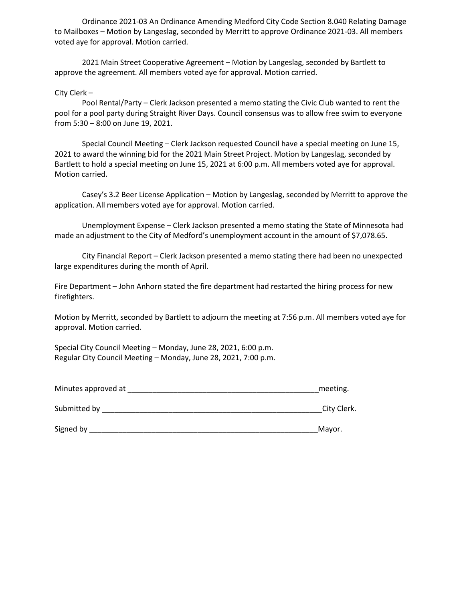Ordinance 2021-03 An Ordinance Amending Medford City Code Section 8.040 Relating Damage to Mailboxes – Motion by Langeslag, seconded by Merritt to approve Ordinance 2021-03. All members voted aye for approval. Motion carried.

2021 Main Street Cooperative Agreement – Motion by Langeslag, seconded by Bartlett to approve the agreement. All members voted aye for approval. Motion carried.

City Clerk –

Pool Rental/Party – Clerk Jackson presented a memo stating the Civic Club wanted to rent the pool for a pool party during Straight River Days. Council consensus was to allow free swim to everyone from 5:30 – 8:00 on June 19, 2021.

Special Council Meeting – Clerk Jackson requested Council have a special meeting on June 15, 2021 to award the winning bid for the 2021 Main Street Project. Motion by Langeslag, seconded by Bartlett to hold a special meeting on June 15, 2021 at 6:00 p.m. All members voted aye for approval. Motion carried.

Casey's 3.2 Beer License Application – Motion by Langeslag, seconded by Merritt to approve the application. All members voted aye for approval. Motion carried.

Unemployment Expense – Clerk Jackson presented a memo stating the State of Minnesota had made an adjustment to the City of Medford's unemployment account in the amount of \$7,078.65.

City Financial Report – Clerk Jackson presented a memo stating there had been no unexpected large expenditures during the month of April.

Fire Department – John Anhorn stated the fire department had restarted the hiring process for new firefighters.

Motion by Merritt, seconded by Bartlett to adjourn the meeting at 7:56 p.m. All members voted aye for approval. Motion carried.

Special City Council Meeting – Monday, June 28, 2021, 6:00 p.m. Regular City Council Meeting – Monday, June 28, 2021, 7:00 p.m.

| Minutes approved at | meeting |
|---------------------|---------|
|---------------------|---------|

| Submitted by | ำitv เ<br>∵lerk. |
|--------------|------------------|
|              |                  |

Signed by \_\_\_\_\_\_\_\_\_\_\_\_\_\_\_\_\_\_\_\_\_\_\_\_\_\_\_\_\_\_\_\_\_\_\_\_\_\_\_\_\_\_\_\_\_\_\_\_\_\_\_\_\_\_\_Mayor.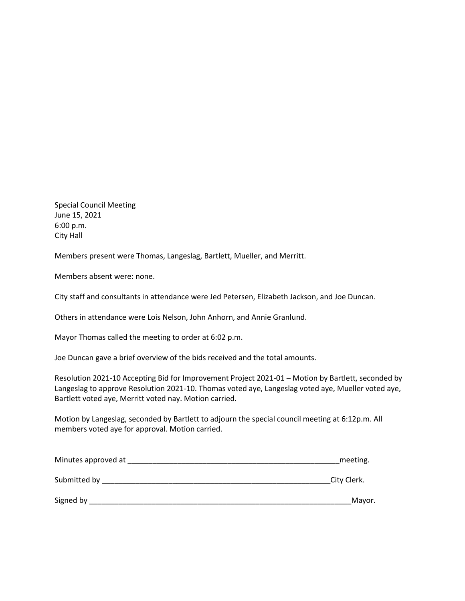Special Council Meeting June 15, 2021 6:00 p.m. City Hall

Members present were Thomas, Langeslag, Bartlett, Mueller, and Merritt.

Members absent were: none.

City staff and consultants in attendance were Jed Petersen, Elizabeth Jackson, and Joe Duncan.

Others in attendance were Lois Nelson, John Anhorn, and Annie Granlund.

Mayor Thomas called the meeting to order at 6:02 p.m.

Joe Duncan gave a brief overview of the bids received and the total amounts.

Resolution 2021-10 Accepting Bid for Improvement Project 2021-01 – Motion by Bartlett, seconded by Langeslag to approve Resolution 2021-10. Thomas voted aye, Langeslag voted aye, Mueller voted aye, Bartlett voted aye, Merritt voted nay. Motion carried.

Motion by Langeslag, seconded by Bartlett to adjourn the special council meeting at 6:12p.m. All members voted aye for approval. Motion carried.

| Minutes approved at | meeting.    |
|---------------------|-------------|
| Submitted by        | City Clerk. |
| Signed by           | Mayor.      |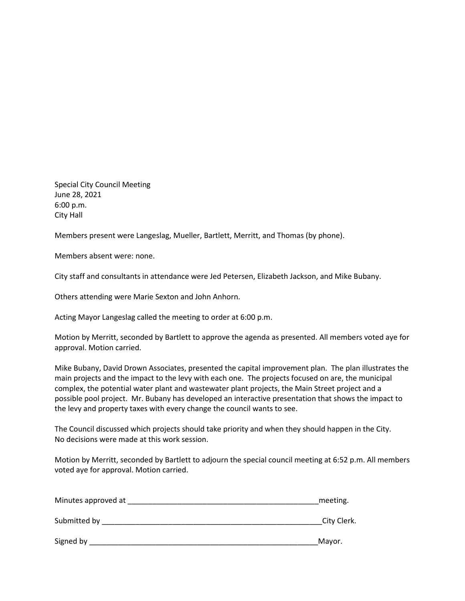Special City Council Meeting June 28, 2021 6:00 p.m. City Hall

Members present were Langeslag, Mueller, Bartlett, Merritt, and Thomas (by phone).

Members absent were: none.

City staff and consultants in attendance were Jed Petersen, Elizabeth Jackson, and Mike Bubany.

Others attending were Marie Sexton and John Anhorn.

Acting Mayor Langeslag called the meeting to order at 6:00 p.m.

Motion by Merritt, seconded by Bartlett to approve the agenda as presented. All members voted aye for approval. Motion carried.

Mike Bubany, David Drown Associates, presented the capital improvement plan. The plan illustrates the main projects and the impact to the levy with each one. The projects focused on are, the municipal complex, the potential water plant and wastewater plant projects, the Main Street project and a possible pool project. Mr. Bubany has developed an interactive presentation that shows the impact to the levy and property taxes with every change the council wants to see.

The Council discussed which projects should take priority and when they should happen in the City. No decisions were made at this work session.

Motion by Merritt, seconded by Bartlett to adjourn the special council meeting at 6:52 p.m. All members voted aye for approval. Motion carried.

| Minutes approved at | meeting.    |
|---------------------|-------------|
| Submitted by        | City Clerk. |
| Signed by           | Mayor.      |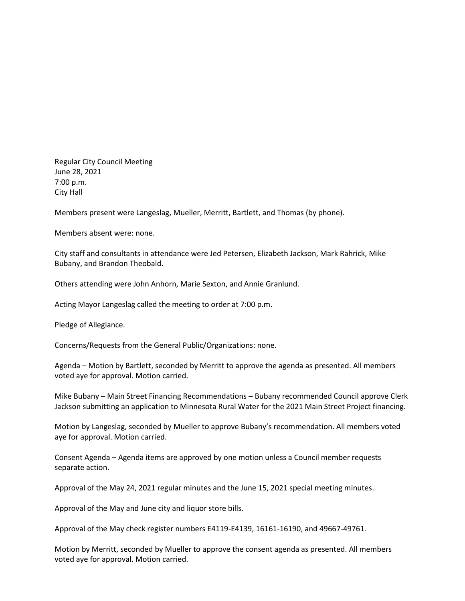Regular City Council Meeting June 28, 2021 7:00 p.m. City Hall

Members present were Langeslag, Mueller, Merritt, Bartlett, and Thomas (by phone).

Members absent were: none.

City staff and consultants in attendance were Jed Petersen, Elizabeth Jackson, Mark Rahrick, Mike Bubany, and Brandon Theobald.

Others attending were John Anhorn, Marie Sexton, and Annie Granlund.

Acting Mayor Langeslag called the meeting to order at 7:00 p.m.

Pledge of Allegiance.

Concerns/Requests from the General Public/Organizations: none.

Agenda – Motion by Bartlett, seconded by Merritt to approve the agenda as presented. All members voted aye for approval. Motion carried.

Mike Bubany – Main Street Financing Recommendations – Bubany recommended Council approve Clerk Jackson submitting an application to Minnesota Rural Water for the 2021 Main Street Project financing.

Motion by Langeslag, seconded by Mueller to approve Bubany's recommendation. All members voted aye for approval. Motion carried.

Consent Agenda – Agenda items are approved by one motion unless a Council member requests separate action.

Approval of the May 24, 2021 regular minutes and the June 15, 2021 special meeting minutes.

Approval of the May and June city and liquor store bills.

Approval of the May check register numbers E4119-E4139, 16161-16190, and 49667-49761.

Motion by Merritt, seconded by Mueller to approve the consent agenda as presented. All members voted aye for approval. Motion carried.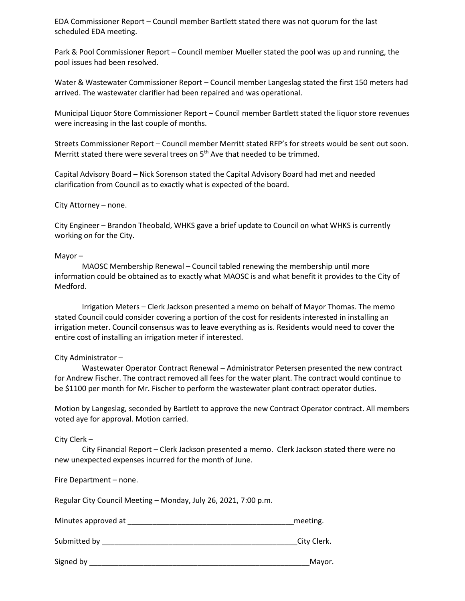EDA Commissioner Report – Council member Bartlett stated there was not quorum for the last scheduled EDA meeting.

Park & Pool Commissioner Report – Council member Mueller stated the pool was up and running, the pool issues had been resolved.

Water & Wastewater Commissioner Report – Council member Langeslag stated the first 150 meters had arrived. The wastewater clarifier had been repaired and was operational.

Municipal Liquor Store Commissioner Report – Council member Bartlett stated the liquor store revenues were increasing in the last couple of months.

Streets Commissioner Report – Council member Merritt stated RFP's for streets would be sent out soon. Merritt stated there were several trees on  $5<sup>th</sup>$  Ave that needed to be trimmed.

Capital Advisory Board – Nick Sorenson stated the Capital Advisory Board had met and needed clarification from Council as to exactly what is expected of the board.

City Attorney – none.

City Engineer – Brandon Theobald, WHKS gave a brief update to Council on what WHKS is currently working on for the City.

#### Mayor –

MAOSC Membership Renewal – Council tabled renewing the membership until more information could be obtained as to exactly what MAOSC is and what benefit it provides to the City of Medford.

Irrigation Meters – Clerk Jackson presented a memo on behalf of Mayor Thomas. The memo stated Council could consider covering a portion of the cost for residents interested in installing an irrigation meter. Council consensus was to leave everything as is. Residents would need to cover the entire cost of installing an irrigation meter if interested.

#### City Administrator –

Wastewater Operator Contract Renewal – Administrator Petersen presented the new contract for Andrew Fischer. The contract removed all fees for the water plant. The contract would continue to be \$1100 per month for Mr. Fischer to perform the wastewater plant contract operator duties.

Motion by Langeslag, seconded by Bartlett to approve the new Contract Operator contract. All members voted aye for approval. Motion carried.

## City Clerk –

City Financial Report – Clerk Jackson presented a memo. Clerk Jackson stated there were no new unexpected expenses incurred for the month of June.

Fire Department – none.

Regular City Council Meeting – Monday, July 26, 2021, 7:00 p.m.

| Minutes approved at | meeting.    |
|---------------------|-------------|
| Submitted by        | City Clerk. |
|                     |             |

Signed by \_\_\_\_\_\_\_\_\_\_\_\_\_\_\_\_\_\_\_\_\_\_\_\_\_\_\_\_\_\_\_\_\_\_\_\_\_\_\_\_\_\_\_\_\_\_\_\_\_\_\_\_\_Mayor.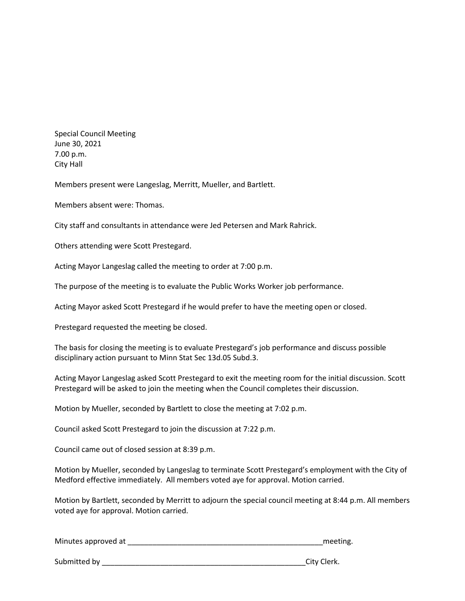Special Council Meeting June 30, 2021 7.00 p.m. City Hall

Members present were Langeslag, Merritt, Mueller, and Bartlett.

Members absent were: Thomas.

City staff and consultants in attendance were Jed Petersen and Mark Rahrick.

Others attending were Scott Prestegard.

Acting Mayor Langeslag called the meeting to order at 7:00 p.m.

The purpose of the meeting is to evaluate the Public Works Worker job performance.

Acting Mayor asked Scott Prestegard if he would prefer to have the meeting open or closed.

Prestegard requested the meeting be closed.

The basis for closing the meeting is to evaluate Prestegard's job performance and discuss possible disciplinary action pursuant to Minn Stat Sec 13d.05 Subd.3.

Acting Mayor Langeslag asked Scott Prestegard to exit the meeting room for the initial discussion. Scott Prestegard will be asked to join the meeting when the Council completes their discussion.

Motion by Mueller, seconded by Bartlett to close the meeting at 7:02 p.m.

Council asked Scott Prestegard to join the discussion at 7:22 p.m.

Council came out of closed session at 8:39 p.m.

Motion by Mueller, seconded by Langeslag to terminate Scott Prestegard's employment with the City of Medford effective immediately. All members voted aye for approval. Motion carried.

Motion by Bartlett, seconded by Merritt to adjourn the special council meeting at 8:44 p.m. All members voted aye for approval. Motion carried.

Minutes approved at \_\_\_\_\_\_\_\_\_\_\_\_\_\_\_\_\_\_\_\_\_\_\_\_\_\_\_\_\_\_\_\_\_\_\_\_\_\_\_\_\_\_\_\_\_\_\_meeting.

Submitted by \_\_\_\_\_\_\_\_\_\_\_\_\_\_\_\_\_\_\_\_\_\_\_\_\_\_\_\_\_\_\_\_\_\_\_\_\_\_\_\_\_\_\_\_\_\_\_\_\_City Clerk.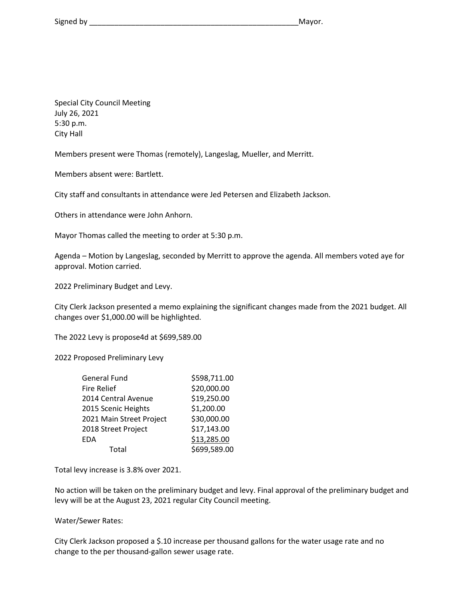Special City Council Meeting July 26, 2021 5:30 p.m. City Hall

Members present were Thomas (remotely), Langeslag, Mueller, and Merritt.

Members absent were: Bartlett.

City staff and consultants in attendance were Jed Petersen and Elizabeth Jackson.

Others in attendance were John Anhorn.

Mayor Thomas called the meeting to order at 5:30 p.m.

Agenda – Motion by Langeslag, seconded by Merritt to approve the agenda. All members voted aye for approval. Motion carried.

2022 Preliminary Budget and Levy.

City Clerk Jackson presented a memo explaining the significant changes made from the 2021 budget. All changes over \$1,000.00 will be highlighted.

The 2022 Levy is propose4d at \$699,589.00

2022 Proposed Preliminary Levy

| General Fund             | \$598,711.00 |
|--------------------------|--------------|
| <b>Fire Relief</b>       | \$20,000.00  |
| 2014 Central Avenue      | \$19,250.00  |
| 2015 Scenic Heights      | \$1,200.00   |
| 2021 Main Street Project | \$30,000.00  |
| 2018 Street Project      | \$17,143.00  |
| EDA                      | \$13,285.00  |
| Total                    | \$699,589.00 |

Total levy increase is 3.8% over 2021.

No action will be taken on the preliminary budget and levy. Final approval of the preliminary budget and levy will be at the August 23, 2021 regular City Council meeting.

Water/Sewer Rates:

City Clerk Jackson proposed a \$.10 increase per thousand gallons for the water usage rate and no change to the per thousand-gallon sewer usage rate.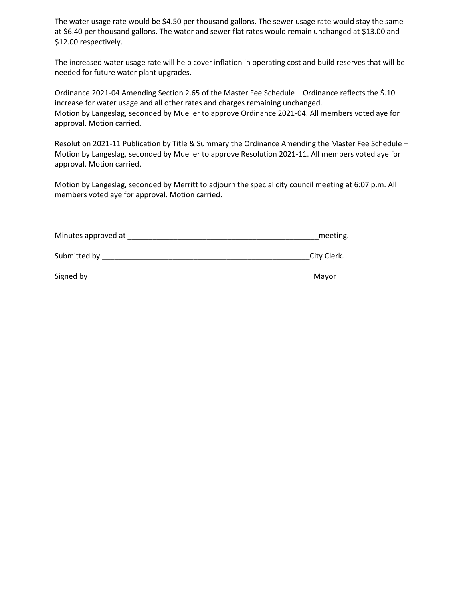The water usage rate would be \$4.50 per thousand gallons. The sewer usage rate would stay the same at \$6.40 per thousand gallons. The water and sewer flat rates would remain unchanged at \$13.00 and \$12.00 respectively.

The increased water usage rate will help cover inflation in operating cost and build reserves that will be needed for future water plant upgrades.

Ordinance 2021-04 Amending Section 2.65 of the Master Fee Schedule – Ordinance reflects the \$.10 increase for water usage and all other rates and charges remaining unchanged. Motion by Langeslag, seconded by Mueller to approve Ordinance 2021-04. All members voted aye for approval. Motion carried.

Resolution 2021-11 Publication by Title & Summary the Ordinance Amending the Master Fee Schedule – Motion by Langeslag, seconded by Mueller to approve Resolution 2021-11. All members voted aye for approval. Motion carried.

Motion by Langeslag, seconded by Merritt to adjourn the special city council meeting at 6:07 p.m. All members voted aye for approval. Motion carried.

| Minutes approved at | meeting. |
|---------------------|----------|
|                     |          |

Submitted by Equation of the set of the set of the set of the set of the Submitted by Equation of the Submitted by  $\Gamma$ 

| Signed by | iviavi |
|-----------|--------|
|           |        |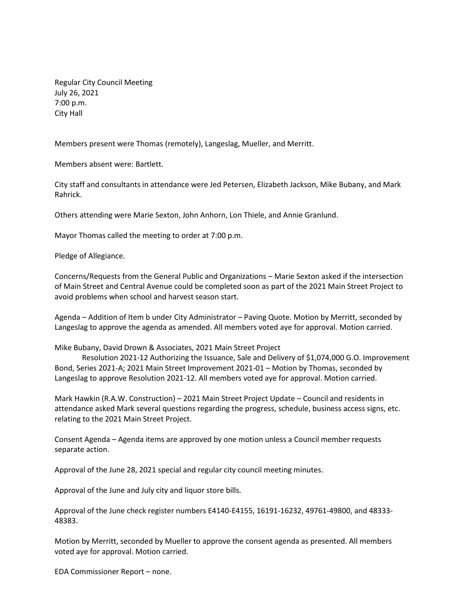Regular City Council Meeting July 26, 2021 7:00 p.m. City Hall

Members present were Thomas (remotely), Langeslag, Mueller, and Merritt.

Members absent were: Bartlett.

City staff and consultants in attendance were Jed Petersen, Elizabeth Jackson, Mike Bubany, and Mark Rahrick.

Others attending were Marie Sexton, John Anhorn, Lon Thiele, and Annie Granlund.

Mayor Thomas called the meeting to order at 7:00 p.m.

Pledge of Allegiance.

Concerns/Requests from the General Public and Organizations – Marie Sexton asked if the intersection of Main Street and Central Avenue could be completed soon as part of the 2021 Main Street Project to avoid problems when school and harvest season start.

Agenda – Addition of Item b under City Administrator – Paving Quote. Motion by Merritt, seconded by Langeslag to approve the agenda as amended. All members voted aye for approval. Motion carried.

Mike Bubany, David Drown & Associates, 2021 Main Street Project

Resolution 2021-12 Authorizing the Issuance, Sale and Delivery of \$1,074,000 G.O. Improvement Bond, Series 2021-A; 2021 Main Street Improvement 2021-01 – Motion by Thomas, seconded by Langeslag to approve Resolution 2021-12. All members voted aye for approval. Motion carried.

Mark Hawkin (R.A.W. Construction) – 2021 Main Street Project Update – Council and residents in attendance asked Mark several questions regarding the progress, schedule, business access signs, etc. relating to the 2021 Main Street Project.

Consent Agenda – Agenda items are approved by one motion unless a Council member requests separate action.

Approval of the June 28, 2021 special and regular city council meeting minutes.

Approval of the June and July city and liquor store bills.

Approval of the June check register numbers E4140-E4155, 16191-16232, 49761-49800, and 48333- 48383.

Motion by Merritt, seconded by Mueller to approve the consent agenda as presented. All members voted aye for approval. Motion carried.

EDA Commissioner Report – none.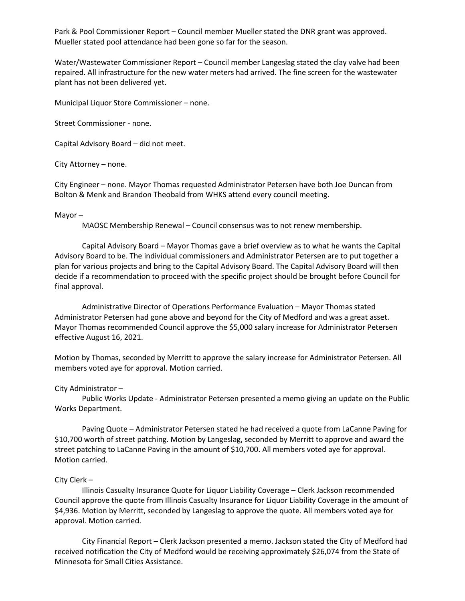Park & Pool Commissioner Report – Council member Mueller stated the DNR grant was approved. Mueller stated pool attendance had been gone so far for the season.

Water/Wastewater Commissioner Report – Council member Langeslag stated the clay valve had been repaired. All infrastructure for the new water meters had arrived. The fine screen for the wastewater plant has not been delivered yet.

Municipal Liquor Store Commissioner – none.

Street Commissioner - none.

Capital Advisory Board – did not meet.

City Attorney – none.

City Engineer – none. Mayor Thomas requested Administrator Petersen have both Joe Duncan from Bolton & Menk and Brandon Theobald from WHKS attend every council meeting.

#### Mayor –

MAOSC Membership Renewal – Council consensus was to not renew membership.

Capital Advisory Board – Mayor Thomas gave a brief overview as to what he wants the Capital Advisory Board to be. The individual commissioners and Administrator Petersen are to put together a plan for various projects and bring to the Capital Advisory Board. The Capital Advisory Board will then decide if a recommendation to proceed with the specific project should be brought before Council for final approval.

Administrative Director of Operations Performance Evaluation – Mayor Thomas stated Administrator Petersen had gone above and beyond for the City of Medford and was a great asset. Mayor Thomas recommended Council approve the \$5,000 salary increase for Administrator Petersen effective August 16, 2021.

Motion by Thomas, seconded by Merritt to approve the salary increase for Administrator Petersen. All members voted aye for approval. Motion carried.

#### City Administrator –

Public Works Update - Administrator Petersen presented a memo giving an update on the Public Works Department.

Paving Quote – Administrator Petersen stated he had received a quote from LaCanne Paving for \$10,700 worth of street patching. Motion by Langeslag, seconded by Merritt to approve and award the street patching to LaCanne Paving in the amount of \$10,700. All members voted aye for approval. Motion carried.

## City Clerk –

Illinois Casualty Insurance Quote for Liquor Liability Coverage – Clerk Jackson recommended Council approve the quote from Illinois Casualty Insurance for Liquor Liability Coverage in the amount of \$4,936. Motion by Merritt, seconded by Langeslag to approve the quote. All members voted aye for approval. Motion carried.

City Financial Report – Clerk Jackson presented a memo. Jackson stated the City of Medford had received notification the City of Medford would be receiving approximately \$26,074 from the State of Minnesota for Small Cities Assistance.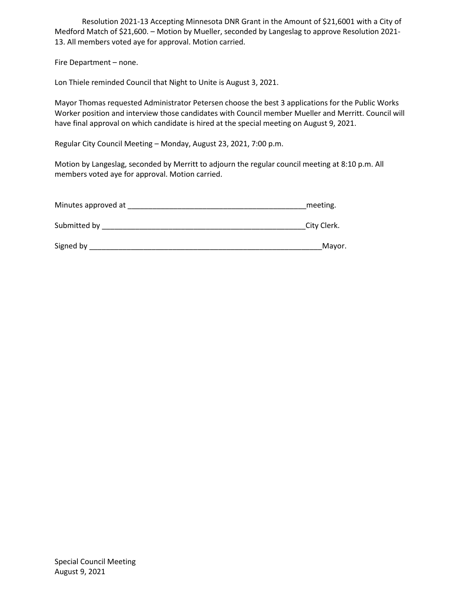Resolution 2021-13 Accepting Minnesota DNR Grant in the Amount of \$21,6001 with a City of Medford Match of \$21,600. – Motion by Mueller, seconded by Langeslag to approve Resolution 2021- 13. All members voted aye for approval. Motion carried.

Fire Department – none.

Lon Thiele reminded Council that Night to Unite is August 3, 2021.

Mayor Thomas requested Administrator Petersen choose the best 3 applications for the Public Works Worker position and interview those candidates with Council member Mueller and Merritt. Council will have final approval on which candidate is hired at the special meeting on August 9, 2021.

Regular City Council Meeting – Monday, August 23, 2021, 7:00 p.m.

Motion by Langeslag, seconded by Merritt to adjourn the regular council meeting at 8:10 p.m. All members voted aye for approval. Motion carried.

| Minutes approved at | meeting.    |
|---------------------|-------------|
| Submitted by        | City Clerk. |
| Signed by           | Mayor.      |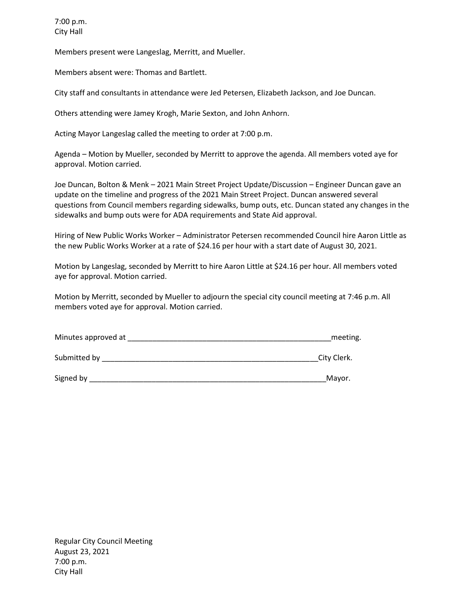Members present were Langeslag, Merritt, and Mueller.

Members absent were: Thomas and Bartlett.

City staff and consultants in attendance were Jed Petersen, Elizabeth Jackson, and Joe Duncan.

Others attending were Jamey Krogh, Marie Sexton, and John Anhorn.

Acting Mayor Langeslag called the meeting to order at 7:00 p.m.

Agenda – Motion by Mueller, seconded by Merritt to approve the agenda. All members voted aye for approval. Motion carried.

Joe Duncan, Bolton & Menk – 2021 Main Street Project Update/Discussion – Engineer Duncan gave an update on the timeline and progress of the 2021 Main Street Project. Duncan answered several questions from Council members regarding sidewalks, bump outs, etc. Duncan stated any changes in the sidewalks and bump outs were for ADA requirements and State Aid approval.

Hiring of New Public Works Worker – Administrator Petersen recommended Council hire Aaron Little as the new Public Works Worker at a rate of \$24.16 per hour with a start date of August 30, 2021.

Motion by Langeslag, seconded by Merritt to hire Aaron Little at \$24.16 per hour. All members voted aye for approval. Motion carried.

Motion by Merritt, seconded by Mueller to adjourn the special city council meeting at 7:46 p.m. All members voted aye for approval. Motion carried.

| Minutes approved at | meeting. |
|---------------------|----------|
|                     |          |

Submitted by \_\_\_\_\_\_\_\_\_\_\_\_\_\_\_\_\_\_\_\_\_\_\_\_\_\_\_\_\_\_\_\_\_\_\_\_\_\_\_\_\_\_\_\_\_\_\_\_\_\_\_\_City Clerk.

Signed by \_\_\_\_\_\_\_\_\_\_\_\_\_\_\_\_\_\_\_\_\_\_\_\_\_\_\_\_\_\_\_\_\_\_\_\_\_\_\_\_\_\_\_\_\_\_\_\_\_\_\_\_\_\_\_\_\_Mayor.

Regular City Council Meeting August 23, 2021 7:00 p.m. City Hall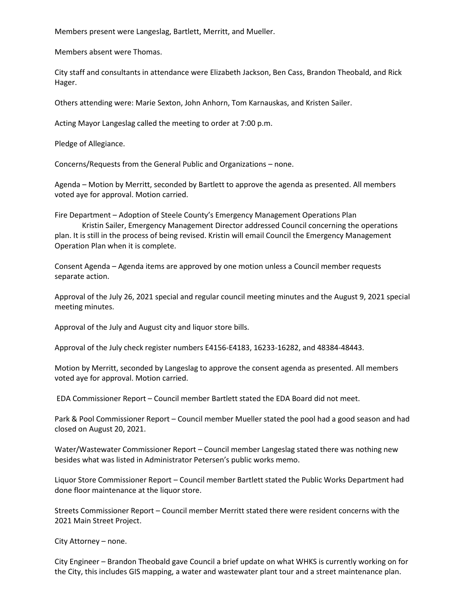Members present were Langeslag, Bartlett, Merritt, and Mueller.

Members absent were Thomas.

City staff and consultants in attendance were Elizabeth Jackson, Ben Cass, Brandon Theobald, and Rick Hager.

Others attending were: Marie Sexton, John Anhorn, Tom Karnauskas, and Kristen Sailer.

Acting Mayor Langeslag called the meeting to order at 7:00 p.m.

Pledge of Allegiance.

Concerns/Requests from the General Public and Organizations – none.

Agenda – Motion by Merritt, seconded by Bartlett to approve the agenda as presented. All members voted aye for approval. Motion carried.

Fire Department – Adoption of Steele County's Emergency Management Operations Plan Kristin Sailer, Emergency Management Director addressed Council concerning the operations plan. It is still in the process of being revised. Kristin will email Council the Emergency Management Operation Plan when it is complete.

Consent Agenda – Agenda items are approved by one motion unless a Council member requests separate action.

Approval of the July 26, 2021 special and regular council meeting minutes and the August 9, 2021 special meeting minutes.

Approval of the July and August city and liquor store bills.

Approval of the July check register numbers E4156-E4183, 16233-16282, and 48384-48443.

Motion by Merritt, seconded by Langeslag to approve the consent agenda as presented. All members voted aye for approval. Motion carried.

EDA Commissioner Report – Council member Bartlett stated the EDA Board did not meet.

Park & Pool Commissioner Report – Council member Mueller stated the pool had a good season and had closed on August 20, 2021.

Water/Wastewater Commissioner Report – Council member Langeslag stated there was nothing new besides what was listed in Administrator Petersen's public works memo.

Liquor Store Commissioner Report – Council member Bartlett stated the Public Works Department had done floor maintenance at the liquor store.

Streets Commissioner Report – Council member Merritt stated there were resident concerns with the 2021 Main Street Project.

City Attorney – none.

City Engineer – Brandon Theobald gave Council a brief update on what WHKS is currently working on for the City, this includes GIS mapping, a water and wastewater plant tour and a street maintenance plan.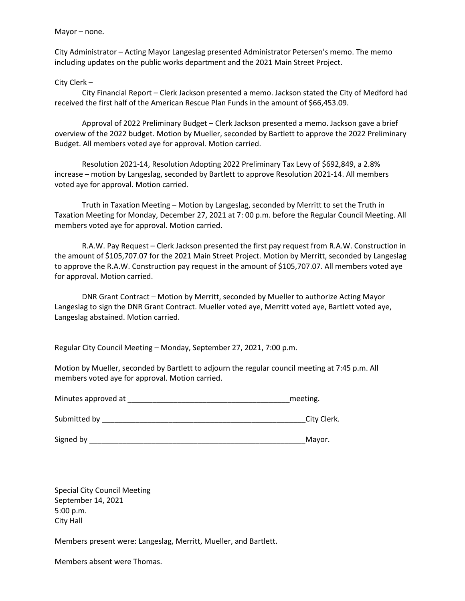Mayor – none.

City Administrator – Acting Mayor Langeslag presented Administrator Petersen's memo. The memo including updates on the public works department and the 2021 Main Street Project.

City Clerk –

City Financial Report – Clerk Jackson presented a memo. Jackson stated the City of Medford had received the first half of the American Rescue Plan Funds in the amount of \$66,453.09.

Approval of 2022 Preliminary Budget – Clerk Jackson presented a memo. Jackson gave a brief overview of the 2022 budget. Motion by Mueller, seconded by Bartlett to approve the 2022 Preliminary Budget. All members voted aye for approval. Motion carried.

Resolution 2021-14, Resolution Adopting 2022 Preliminary Tax Levy of \$692,849, a 2.8% increase – motion by Langeslag, seconded by Bartlett to approve Resolution 2021-14. All members voted aye for approval. Motion carried.

Truth in Taxation Meeting – Motion by Langeslag, seconded by Merritt to set the Truth in Taxation Meeting for Monday, December 27, 2021 at 7: 00 p.m. before the Regular Council Meeting. All members voted aye for approval. Motion carried.

R.A.W. Pay Request – Clerk Jackson presented the first pay request from R.A.W. Construction in the amount of \$105,707.07 for the 2021 Main Street Project. Motion by Merritt, seconded by Langeslag to approve the R.A.W. Construction pay request in the amount of \$105,707.07. All members voted aye for approval. Motion carried.

DNR Grant Contract – Motion by Merritt, seconded by Mueller to authorize Acting Mayor Langeslag to sign the DNR Grant Contract. Mueller voted aye, Merritt voted aye, Bartlett voted aye, Langeslag abstained. Motion carried.

Regular City Council Meeting – Monday, September 27, 2021, 7:00 p.m.

Motion by Mueller, seconded by Bartlett to adjourn the regular council meeting at 7:45 p.m. All members voted aye for approval. Motion carried.

Minutes approved at \_\_\_\_\_\_\_\_\_\_\_\_\_\_\_\_\_\_\_\_\_\_\_\_\_\_\_\_\_\_\_\_\_\_\_\_\_\_\_meeting.

| Submitted by | City Clerk. |
|--------------|-------------|
|              |             |

Signed by \_\_\_\_\_\_\_\_\_\_\_\_\_\_\_\_\_\_\_\_\_\_\_\_\_\_\_\_\_\_\_\_\_\_\_\_\_\_\_\_\_\_\_\_\_\_\_\_\_\_\_\_Mayor.

Special City Council Meeting September 14, 2021 5:00 p.m. City Hall

Members present were: Langeslag, Merritt, Mueller, and Bartlett.

Members absent were Thomas.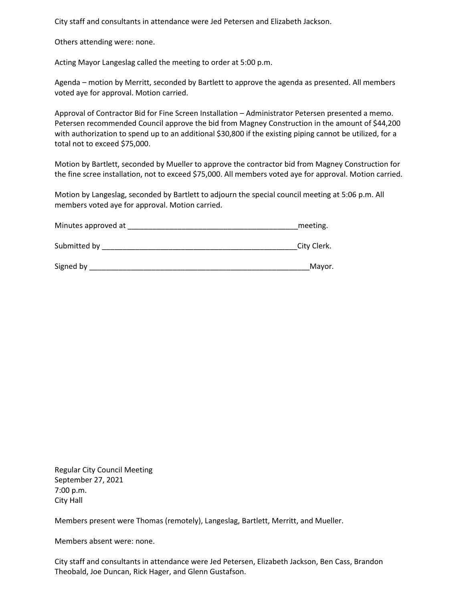City staff and consultants in attendance were Jed Petersen and Elizabeth Jackson.

Others attending were: none.

Acting Mayor Langeslag called the meeting to order at 5:00 p.m.

Agenda – motion by Merritt, seconded by Bartlett to approve the agenda as presented. All members voted aye for approval. Motion carried.

Approval of Contractor Bid for Fine Screen Installation – Administrator Petersen presented a memo. Petersen recommended Council approve the bid from Magney Construction in the amount of \$44,200 with authorization to spend up to an additional \$30,800 if the existing piping cannot be utilized, for a total not to exceed \$75,000.

Motion by Bartlett, seconded by Mueller to approve the contractor bid from Magney Construction for the fine scree installation, not to exceed \$75,000. All members voted aye for approval. Motion carried.

Motion by Langeslag, seconded by Bartlett to adjourn the special council meeting at 5:06 p.m. All members voted aye for approval. Motion carried.

| Minutes approved at | meeting.    |
|---------------------|-------------|
| Submitted by        | City Clerk. |

Signed by \_\_\_\_\_\_\_\_\_\_\_\_\_\_\_\_\_\_\_\_\_\_\_\_\_\_\_\_\_\_\_\_\_\_\_\_\_\_\_\_\_\_\_\_\_\_\_\_\_\_\_\_\_Mayor.

Regular City Council Meeting September 27, 2021 7:00 p.m. City Hall

Members present were Thomas (remotely), Langeslag, Bartlett, Merritt, and Mueller.

Members absent were: none.

City staff and consultants in attendance were Jed Petersen, Elizabeth Jackson, Ben Cass, Brandon Theobald, Joe Duncan, Rick Hager, and Glenn Gustafson.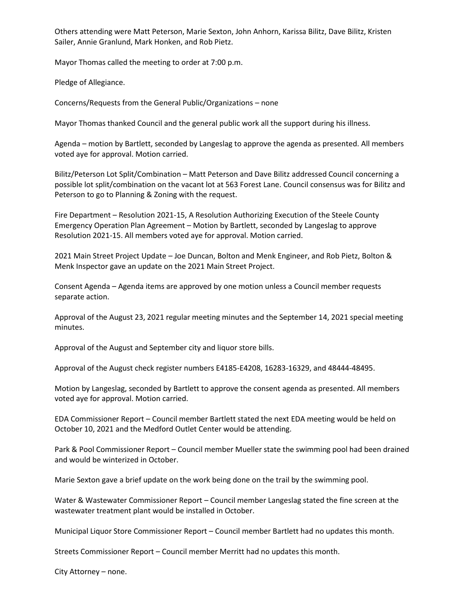Others attending were Matt Peterson, Marie Sexton, John Anhorn, Karissa Bilitz, Dave Bilitz, Kristen Sailer, Annie Granlund, Mark Honken, and Rob Pietz.

Mayor Thomas called the meeting to order at 7:00 p.m.

Pledge of Allegiance.

Concerns/Requests from the General Public/Organizations – none

Mayor Thomas thanked Council and the general public work all the support during his illness.

Agenda – motion by Bartlett, seconded by Langeslag to approve the agenda as presented. All members voted aye for approval. Motion carried.

Bilitz/Peterson Lot Split/Combination – Matt Peterson and Dave Bilitz addressed Council concerning a possible lot split/combination on the vacant lot at 563 Forest Lane. Council consensus was for Bilitz and Peterson to go to Planning & Zoning with the request.

Fire Department – Resolution 2021-15, A Resolution Authorizing Execution of the Steele County Emergency Operation Plan Agreement – Motion by Bartlett, seconded by Langeslag to approve Resolution 2021-15. All members voted aye for approval. Motion carried.

2021 Main Street Project Update – Joe Duncan, Bolton and Menk Engineer, and Rob Pietz, Bolton & Menk Inspector gave an update on the 2021 Main Street Project.

Consent Agenda – Agenda items are approved by one motion unless a Council member requests separate action.

Approval of the August 23, 2021 regular meeting minutes and the September 14, 2021 special meeting minutes.

Approval of the August and September city and liquor store bills.

Approval of the August check register numbers E4185-E4208, 16283-16329, and 48444-48495.

Motion by Langeslag, seconded by Bartlett to approve the consent agenda as presented. All members voted aye for approval. Motion carried.

EDA Commissioner Report – Council member Bartlett stated the next EDA meeting would be held on October 10, 2021 and the Medford Outlet Center would be attending.

Park & Pool Commissioner Report – Council member Mueller state the swimming pool had been drained and would be winterized in October.

Marie Sexton gave a brief update on the work being done on the trail by the swimming pool.

Water & Wastewater Commissioner Report – Council member Langeslag stated the fine screen at the wastewater treatment plant would be installed in October.

Municipal Liquor Store Commissioner Report – Council member Bartlett had no updates this month.

Streets Commissioner Report – Council member Merritt had no updates this month.

City Attorney – none.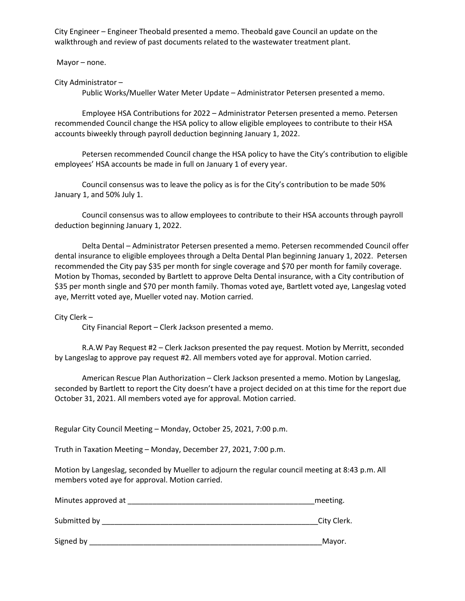City Engineer – Engineer Theobald presented a memo. Theobald gave Council an update on the walkthrough and review of past documents related to the wastewater treatment plant.

Mayor – none.

City Administrator –

Public Works/Mueller Water Meter Update – Administrator Petersen presented a memo.

Employee HSA Contributions for 2022 – Administrator Petersen presented a memo. Petersen recommended Council change the HSA policy to allow eligible employees to contribute to their HSA accounts biweekly through payroll deduction beginning January 1, 2022.

Petersen recommended Council change the HSA policy to have the City's contribution to eligible employees' HSA accounts be made in full on January 1 of every year.

Council consensus was to leave the policy as is for the City's contribution to be made 50% January 1, and 50% July 1.

Council consensus was to allow employees to contribute to their HSA accounts through payroll deduction beginning January 1, 2022.

Delta Dental – Administrator Petersen presented a memo. Petersen recommended Council offer dental insurance to eligible employees through a Delta Dental Plan beginning January 1, 2022. Petersen recommended the City pay \$35 per month for single coverage and \$70 per month for family coverage. Motion by Thomas, seconded by Bartlett to approve Delta Dental insurance, with a City contribution of \$35 per month single and \$70 per month family. Thomas voted aye, Bartlett voted aye, Langeslag voted aye, Merritt voted aye, Mueller voted nay. Motion carried.

City Clerk –

City Financial Report – Clerk Jackson presented a memo.

R.A.W Pay Request #2 – Clerk Jackson presented the pay request. Motion by Merritt, seconded by Langeslag to approve pay request #2. All members voted aye for approval. Motion carried.

American Rescue Plan Authorization – Clerk Jackson presented a memo. Motion by Langeslag, seconded by Bartlett to report the City doesn't have a project decided on at this time for the report due October 31, 2021. All members voted aye for approval. Motion carried.

Regular City Council Meeting – Monday, October 25, 2021, 7:00 p.m.

Truth in Taxation Meeting – Monday, December 27, 2021, 7:00 p.m.

Motion by Langeslag, seconded by Mueller to adjourn the regular council meeting at 8:43 p.m. All members voted aye for approval. Motion carried.

| Minutes approved at | meeting. |
|---------------------|----------|
|                     |          |

Submitted by **EXECUTE:** City Clerk.

Signed by \_\_\_\_\_\_\_\_\_\_\_\_\_\_\_\_\_\_\_\_\_\_\_\_\_\_\_\_\_\_\_\_\_\_\_\_\_\_\_\_\_\_\_\_\_\_\_\_\_\_\_\_\_\_\_\_Mayor.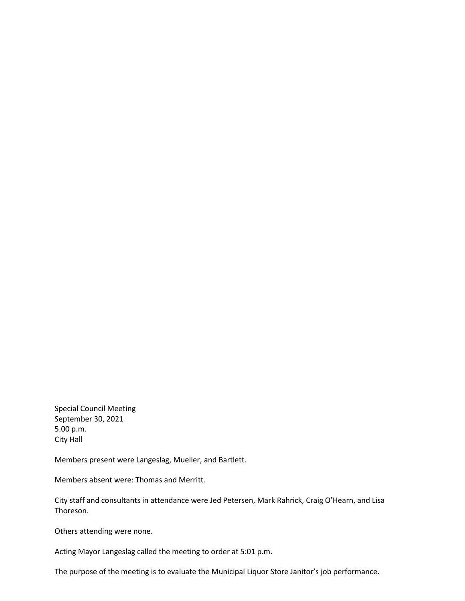Special Council Meeting September 30, 2021 5.00 p.m. City Hall

Members present were Langeslag, Mueller, and Bartlett.

Members absent were: Thomas and Merritt.

City staff and consultants in attendance were Jed Petersen, Mark Rahrick, Craig O'Hearn, and Lisa Thoreson.

Others attending were none.

Acting Mayor Langeslag called the meeting to order at 5:01 p.m.

The purpose of the meeting is to evaluate the Municipal Liquor Store Janitor's job performance.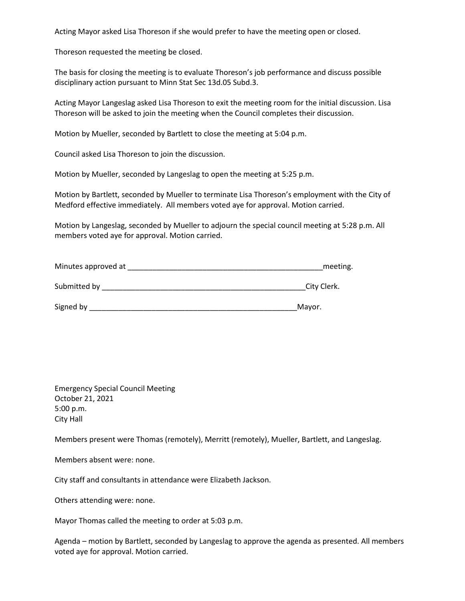Acting Mayor asked Lisa Thoreson if she would prefer to have the meeting open or closed.

Thoreson requested the meeting be closed.

The basis for closing the meeting is to evaluate Thoreson's job performance and discuss possible disciplinary action pursuant to Minn Stat Sec 13d.05 Subd.3.

Acting Mayor Langeslag asked Lisa Thoreson to exit the meeting room for the initial discussion. Lisa Thoreson will be asked to join the meeting when the Council completes their discussion.

Motion by Mueller, seconded by Bartlett to close the meeting at 5:04 p.m.

Council asked Lisa Thoreson to join the discussion.

Motion by Mueller, seconded by Langeslag to open the meeting at 5:25 p.m.

Motion by Bartlett, seconded by Mueller to terminate Lisa Thoreson's employment with the City of Medford effective immediately. All members voted aye for approval. Motion carried.

Motion by Langeslag, seconded by Mueller to adjourn the special council meeting at 5:28 p.m. All members voted aye for approval. Motion carried.

| Minutes approved at | meeting.    |
|---------------------|-------------|
| Submitted by        | City Clerk. |
| Signed by           | Mayor.      |

Emergency Special Council Meeting October 21, 2021 5:00 p.m. City Hall

Members present were Thomas (remotely), Merritt (remotely), Mueller, Bartlett, and Langeslag.

Members absent were: none.

City staff and consultants in attendance were Elizabeth Jackson.

Others attending were: none.

Mayor Thomas called the meeting to order at 5:03 p.m.

Agenda – motion by Bartlett, seconded by Langeslag to approve the agenda as presented. All members voted aye for approval. Motion carried.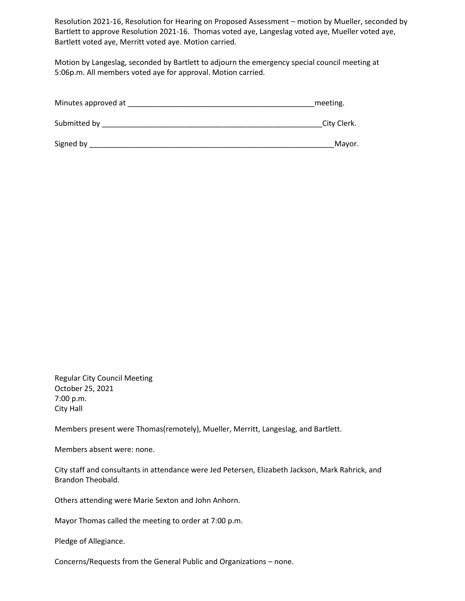Resolution 2021-16, Resolution for Hearing on Proposed Assessment – motion by Mueller, seconded by Bartlett to approve Resolution 2021-16. Thomas voted aye, Langeslag voted aye, Mueller voted aye, Bartlett voted aye, Merritt voted aye. Motion carried.

Motion by Langeslag, seconded by Bartlett to adjourn the emergency special council meeting at 5:06p.m. All members voted aye for approval. Motion carried.

| Minutes approved at | meeting.    |
|---------------------|-------------|
| Submitted by        | City Clerk. |
| Signed by           | Mayor.      |

Regular City Council Meeting October 25, 2021 7:00 p.m. City Hall

Members present were Thomas(remotely), Mueller, Merritt, Langeslag, and Bartlett.

Members absent were: none.

City staff and consultants in attendance were Jed Petersen, Elizabeth Jackson, Mark Rahrick, and Brandon Theobald.

Others attending were Marie Sexton and John Anhorn.

Mayor Thomas called the meeting to order at 7:00 p.m.

Pledge of Allegiance.

Concerns/Requests from the General Public and Organizations – none.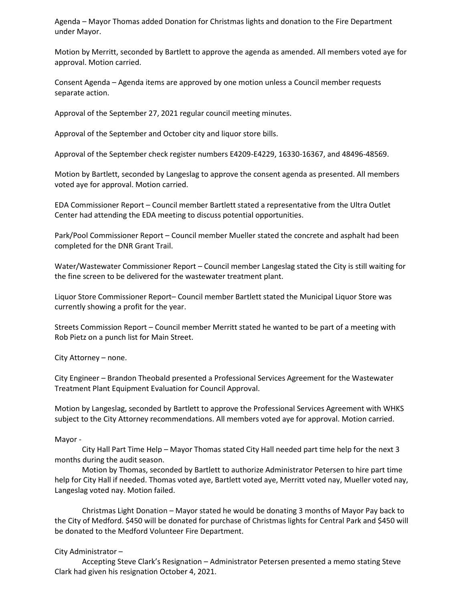Agenda – Mayor Thomas added Donation for Christmas lights and donation to the Fire Department under Mayor.

Motion by Merritt, seconded by Bartlett to approve the agenda as amended. All members voted aye for approval. Motion carried.

Consent Agenda – Agenda items are approved by one motion unless a Council member requests separate action.

Approval of the September 27, 2021 regular council meeting minutes.

Approval of the September and October city and liquor store bills.

Approval of the September check register numbers E4209-E4229, 16330-16367, and 48496-48569.

Motion by Bartlett, seconded by Langeslag to approve the consent agenda as presented. All members voted aye for approval. Motion carried.

EDA Commissioner Report – Council member Bartlett stated a representative from the Ultra Outlet Center had attending the EDA meeting to discuss potential opportunities.

Park/Pool Commissioner Report – Council member Mueller stated the concrete and asphalt had been completed for the DNR Grant Trail.

Water/Wastewater Commissioner Report – Council member Langeslag stated the City is still waiting for the fine screen to be delivered for the wastewater treatment plant.

Liquor Store Commissioner Report– Council member Bartlett stated the Municipal Liquor Store was currently showing a profit for the year.

Streets Commission Report – Council member Merritt stated he wanted to be part of a meeting with Rob Pietz on a punch list for Main Street.

City Attorney – none.

City Engineer – Brandon Theobald presented a Professional Services Agreement for the Wastewater Treatment Plant Equipment Evaluation for Council Approval.

Motion by Langeslag, seconded by Bartlett to approve the Professional Services Agreement with WHKS subject to the City Attorney recommendations. All members voted aye for approval. Motion carried.

#### Mayor -

City Hall Part Time Help – Mayor Thomas stated City Hall needed part time help for the next 3 months during the audit season.

Motion by Thomas, seconded by Bartlett to authorize Administrator Petersen to hire part time help for City Hall if needed. Thomas voted aye, Bartlett voted aye, Merritt voted nay, Mueller voted nay, Langeslag voted nay. Motion failed.

Christmas Light Donation – Mayor stated he would be donating 3 months of Mayor Pay back to the City of Medford. \$450 will be donated for purchase of Christmas lights for Central Park and \$450 will be donated to the Medford Volunteer Fire Department.

#### City Administrator –

Accepting Steve Clark's Resignation – Administrator Petersen presented a memo stating Steve Clark had given his resignation October 4, 2021.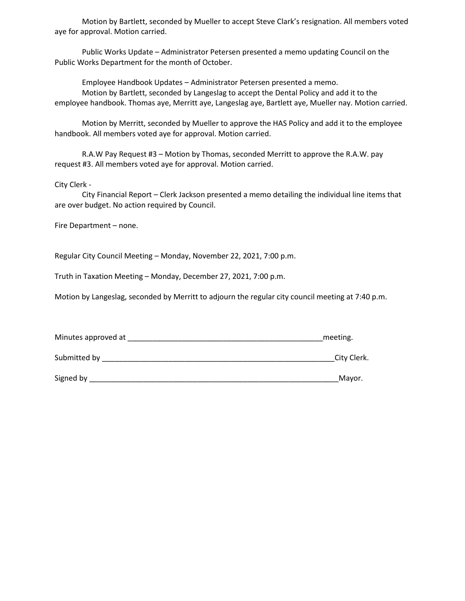Motion by Bartlett, seconded by Mueller to accept Steve Clark's resignation. All members voted aye for approval. Motion carried.

Public Works Update – Administrator Petersen presented a memo updating Council on the Public Works Department for the month of October.

Employee Handbook Updates – Administrator Petersen presented a memo. Motion by Bartlett, seconded by Langeslag to accept the Dental Policy and add it to the employee handbook. Thomas aye, Merritt aye, Langeslag aye, Bartlett aye, Mueller nay. Motion carried.

Motion by Merritt, seconded by Mueller to approve the HAS Policy and add it to the employee handbook. All members voted aye for approval. Motion carried.

R.A.W Pay Request #3 – Motion by Thomas, seconded Merritt to approve the R.A.W. pay request #3. All members voted aye for approval. Motion carried.

City Clerk -

City Financial Report – Clerk Jackson presented a memo detailing the individual line items that are over budget. No action required by Council.

Fire Department – none.

Regular City Council Meeting – Monday, November 22, 2021, 7:00 p.m.

Truth in Taxation Meeting – Monday, December 27, 2021, 7:00 p.m.

Motion by Langeslag, seconded by Merritt to adjourn the regular city council meeting at 7:40 p.m.

| Minutes approved at | meeting |
|---------------------|---------|
|---------------------|---------|

Submitted by \_\_\_\_\_\_\_\_\_\_\_\_\_\_\_\_\_\_\_\_\_\_\_\_\_\_\_\_\_\_\_\_\_\_\_\_\_\_\_\_\_\_\_\_\_\_\_\_\_\_\_\_\_\_\_\_City Clerk.

Signed by \_\_\_\_\_\_\_\_\_\_\_\_\_\_\_\_\_\_\_\_\_\_\_\_\_\_\_\_\_\_\_\_\_\_\_\_\_\_\_\_\_\_\_\_\_\_\_\_\_\_\_\_\_\_\_\_\_\_\_\_Mayor.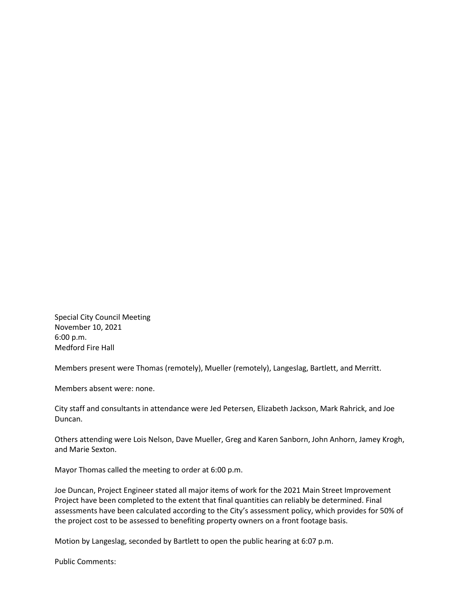Special City Council Meeting November 10, 2021 6:00 p.m. Medford Fire Hall

Members present were Thomas (remotely), Mueller (remotely), Langeslag, Bartlett, and Merritt.

Members absent were: none.

City staff and consultants in attendance were Jed Petersen, Elizabeth Jackson, Mark Rahrick, and Joe Duncan.

Others attending were Lois Nelson, Dave Mueller, Greg and Karen Sanborn, John Anhorn, Jamey Krogh, and Marie Sexton.

Mayor Thomas called the meeting to order at 6:00 p.m.

Joe Duncan, Project Engineer stated all major items of work for the 2021 Main Street Improvement Project have been completed to the extent that final quantities can reliably be determined. Final assessments have been calculated according to the City's assessment policy, which provides for 50% of the project cost to be assessed to benefiting property owners on a front footage basis.

Motion by Langeslag, seconded by Bartlett to open the public hearing at 6:07 p.m.

Public Comments: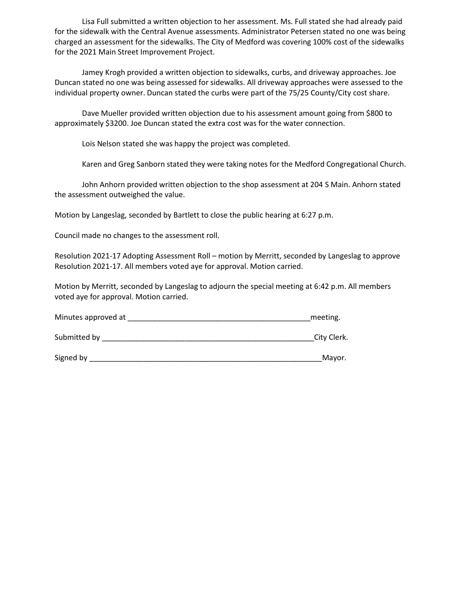Lisa Full submitted a written objection to her assessment. Ms. Full stated she had already paid for the sidewalk with the Central Avenue assessments. Administrator Petersen stated no one was being charged an assessment for the sidewalks. The City of Medford was covering 100% cost of the sidewalks for the 2021 Main Street Improvement Project.

Jamey Krogh provided a written objection to sidewalks, curbs, and driveway approaches. Joe Duncan stated no one was being assessed for sidewalks. All driveway approaches were assessed to the individual property owner. Duncan stated the curbs were part of the 75/25 County/City cost share.

Dave Mueller provided written objection due to his assessment amount going from \$800 to approximately \$3200. Joe Duncan stated the extra cost was for the water connection.

Lois Nelson stated she was happy the project was completed.

Karen and Greg Sanborn stated they were taking notes for the Medford Congregational Church.

John Anhorn provided written objection to the shop assessment at 204 S Main. Anhorn stated the assessment outweighed the value.

Motion by Langeslag, seconded by Bartlett to close the public hearing at 6:27 p.m.

Council made no changes to the assessment roll.

Resolution 2021-17 Adopting Assessment Roll – motion by Merritt, seconded by Langeslag to approve Resolution 2021-17. All members voted aye for approval. Motion carried.

Motion by Merritt, seconded by Langeslag to adjourn the special meeting at 6:42 p.m. All members voted aye for approval. Motion carried.

| Minutes approved at | meeting. |
|---------------------|----------|
|---------------------|----------|

Submitted by \_\_\_\_\_\_\_\_\_\_\_\_\_\_\_\_\_\_\_\_\_\_\_\_\_\_\_\_\_\_\_\_\_\_\_\_\_\_\_\_\_\_\_\_\_\_\_\_\_\_\_City Clerk.

Signed by \_\_\_\_\_\_\_\_\_\_\_\_\_\_\_\_\_\_\_\_\_\_\_\_\_\_\_\_\_\_\_\_\_\_\_\_\_\_\_\_\_\_\_\_\_\_\_\_\_\_\_\_\_\_\_\_Mayor.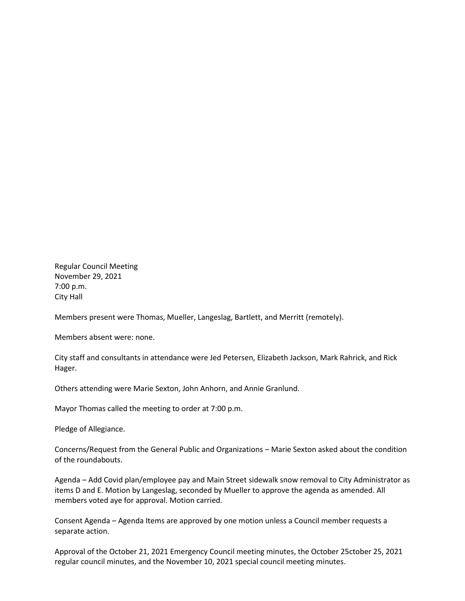Regular Council Meeting November 29, 2021 7:00 p.m. City Hall

Members present were Thomas, Mueller, Langeslag, Bartlett, and Merritt (remotely).

Members absent were: none.

City staff and consultants in attendance were Jed Petersen, Elizabeth Jackson, Mark Rahrick, and Rick Hager.

Others attending were Marie Sexton, John Anhorn, and Annie Granlund.

Mayor Thomas called the meeting to order at 7:00 p.m.

Pledge of Allegiance.

Concerns/Request from the General Public and Organizations – Marie Sexton asked about the condition of the roundabouts.

Agenda – Add Covid plan/employee pay and Main Street sidewalk snow removal to City Administrator as items D and E. Motion by Langeslag, seconded by Mueller to approve the agenda as amended. All members voted aye for approval. Motion carried.

Consent Agenda – Agenda Items are approved by one motion unless a Council member requests a separate action.

Approval of the October 21, 2021 Emergency Council meeting minutes, the October 25ctober 25, 2021 regular council minutes, and the November 10, 2021 special council meeting minutes.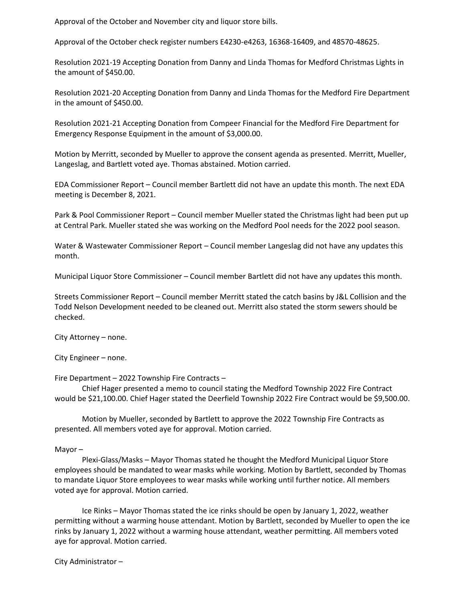Approval of the October and November city and liquor store bills.

Approval of the October check register numbers E4230-e4263, 16368-16409, and 48570-48625.

Resolution 2021-19 Accepting Donation from Danny and Linda Thomas for Medford Christmas Lights in the amount of \$450.00.

Resolution 2021-20 Accepting Donation from Danny and Linda Thomas for the Medford Fire Department in the amount of \$450.00.

Resolution 2021-21 Accepting Donation from Compeer Financial for the Medford Fire Department for Emergency Response Equipment in the amount of \$3,000.00.

Motion by Merritt, seconded by Mueller to approve the consent agenda as presented. Merritt, Mueller, Langeslag, and Bartlett voted aye. Thomas abstained. Motion carried.

EDA Commissioner Report – Council member Bartlett did not have an update this month. The next EDA meeting is December 8, 2021.

Park & Pool Commissioner Report – Council member Mueller stated the Christmas light had been put up at Central Park. Mueller stated she was working on the Medford Pool needs for the 2022 pool season.

Water & Wastewater Commissioner Report – Council member Langeslag did not have any updates this month.

Municipal Liquor Store Commissioner – Council member Bartlett did not have any updates this month.

Streets Commissioner Report – Council member Merritt stated the catch basins by J&L Collision and the Todd Nelson Development needed to be cleaned out. Merritt also stated the storm sewers should be checked.

City Attorney – none.

City Engineer – none.

Fire Department – 2022 Township Fire Contracts –

Chief Hager presented a memo to council stating the Medford Township 2022 Fire Contract would be \$21,100.00. Chief Hager stated the Deerfield Township 2022 Fire Contract would be \$9,500.00.

Motion by Mueller, seconded by Bartlett to approve the 2022 Township Fire Contracts as presented. All members voted aye for approval. Motion carried.

Mayor –

Plexi-Glass/Masks – Mayor Thomas stated he thought the Medford Municipal Liquor Store employees should be mandated to wear masks while working. Motion by Bartlett, seconded by Thomas to mandate Liquor Store employees to wear masks while working until further notice. All members voted aye for approval. Motion carried.

Ice Rinks – Mayor Thomas stated the ice rinks should be open by January 1, 2022, weather permitting without a warming house attendant. Motion by Bartlett, seconded by Mueller to open the ice rinks by January 1, 2022 without a warming house attendant, weather permitting. All members voted aye for approval. Motion carried.

City Administrator –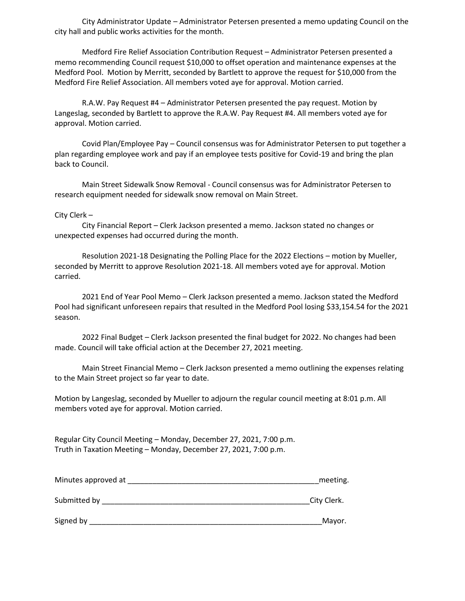City Administrator Update – Administrator Petersen presented a memo updating Council on the city hall and public works activities for the month.

Medford Fire Relief Association Contribution Request – Administrator Petersen presented a memo recommending Council request \$10,000 to offset operation and maintenance expenses at the Medford Pool. Motion by Merritt, seconded by Bartlett to approve the request for \$10,000 from the Medford Fire Relief Association. All members voted aye for approval. Motion carried.

R.A.W. Pay Request #4 – Administrator Petersen presented the pay request. Motion by Langeslag, seconded by Bartlett to approve the R.A.W. Pay Request #4. All members voted aye for approval. Motion carried.

Covid Plan/Employee Pay – Council consensus was for Administrator Petersen to put together a plan regarding employee work and pay if an employee tests positive for Covid-19 and bring the plan back to Council.

Main Street Sidewalk Snow Removal - Council consensus was for Administrator Petersen to research equipment needed for sidewalk snow removal on Main Street.

City Clerk –

City Financial Report – Clerk Jackson presented a memo. Jackson stated no changes or unexpected expenses had occurred during the month.

Resolution 2021-18 Designating the Polling Place for the 2022 Elections – motion by Mueller, seconded by Merritt to approve Resolution 2021-18. All members voted aye for approval. Motion carried.

2021 End of Year Pool Memo – Clerk Jackson presented a memo. Jackson stated the Medford Pool had significant unforeseen repairs that resulted in the Medford Pool losing \$33,154.54 for the 2021 season.

2022 Final Budget – Clerk Jackson presented the final budget for 2022. No changes had been made. Council will take official action at the December 27, 2021 meeting.

Main Street Financial Memo – Clerk Jackson presented a memo outlining the expenses relating to the Main Street project so far year to date.

Motion by Langeslag, seconded by Mueller to adjourn the regular council meeting at 8:01 p.m. All members voted aye for approval. Motion carried.

Regular City Council Meeting – Monday, December 27, 2021, 7:00 p.m. Truth in Taxation Meeting – Monday, December 27, 2021, 7:00 p.m.

| Minutes approved at | meeting.    |
|---------------------|-------------|
| Submitted by        | City Clerk. |
| Signed by           | Mayor.      |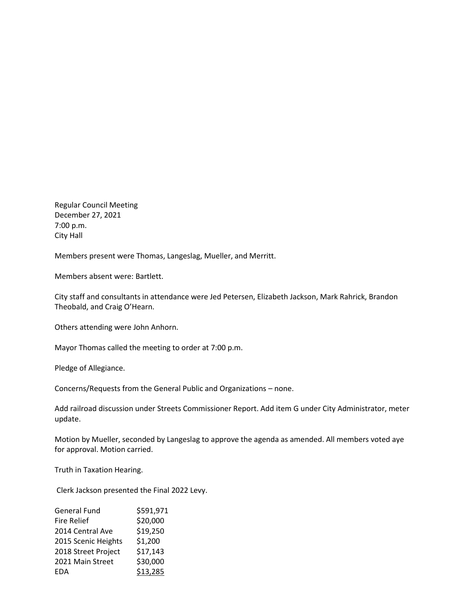Regular Council Meeting December 27, 2021 7:00 p.m. City Hall

Members present were Thomas, Langeslag, Mueller, and Merritt.

Members absent were: Bartlett.

City staff and consultants in attendance were Jed Petersen, Elizabeth Jackson, Mark Rahrick, Brandon Theobald, and Craig O'Hearn.

Others attending were John Anhorn.

Mayor Thomas called the meeting to order at 7:00 p.m.

Pledge of Allegiance.

Concerns/Requests from the General Public and Organizations – none.

Add railroad discussion under Streets Commissioner Report. Add item G under City Administrator, meter update.

Motion by Mueller, seconded by Langeslag to approve the agenda as amended. All members voted aye for approval. Motion carried.

Truth in Taxation Hearing.

Clerk Jackson presented the Final 2022 Levy.

| <b>General Fund</b> | \$591,971 |
|---------------------|-----------|
| <b>Fire Relief</b>  | \$20,000  |
| 2014 Central Ave    | \$19,250  |
| 2015 Scenic Heights | \$1,200   |
| 2018 Street Project | \$17,143  |
| 2021 Main Street    | \$30,000  |
| <b>EDA</b>          | \$13,285  |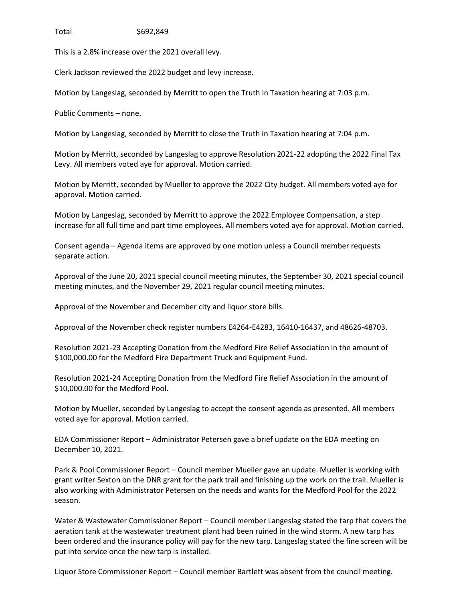Total \$692,849

This is a 2.8% increase over the 2021 overall levy.

Clerk Jackson reviewed the 2022 budget and levy increase.

Motion by Langeslag, seconded by Merritt to open the Truth in Taxation hearing at 7:03 p.m.

Public Comments – none.

Motion by Langeslag, seconded by Merritt to close the Truth in Taxation hearing at 7:04 p.m.

Motion by Merritt, seconded by Langeslag to approve Resolution 2021-22 adopting the 2022 Final Tax Levy. All members voted aye for approval. Motion carried.

Motion by Merritt, seconded by Mueller to approve the 2022 City budget. All members voted aye for approval. Motion carried.

Motion by Langeslag, seconded by Merritt to approve the 2022 Employee Compensation, a step increase for all full time and part time employees. All members voted aye for approval. Motion carried.

Consent agenda – Agenda items are approved by one motion unless a Council member requests separate action.

Approval of the June 20, 2021 special council meeting minutes, the September 30, 2021 special council meeting minutes, and the November 29, 2021 regular council meeting minutes.

Approval of the November and December city and liquor store bills.

Approval of the November check register numbers E4264-E4283, 16410-16437, and 48626-48703.

Resolution 2021-23 Accepting Donation from the Medford Fire Relief Association in the amount of \$100,000.00 for the Medford Fire Department Truck and Equipment Fund.

Resolution 2021-24 Accepting Donation from the Medford Fire Relief Association in the amount of \$10,000.00 for the Medford Pool.

Motion by Mueller, seconded by Langeslag to accept the consent agenda as presented. All members voted aye for approval. Motion carried.

EDA Commissioner Report – Administrator Petersen gave a brief update on the EDA meeting on December 10, 2021.

Park & Pool Commissioner Report – Council member Mueller gave an update. Mueller is working with grant writer Sexton on the DNR grant for the park trail and finishing up the work on the trail. Mueller is also working with Administrator Petersen on the needs and wants for the Medford Pool for the 2022 season.

Water & Wastewater Commissioner Report – Council member Langeslag stated the tarp that covers the aeration tank at the wastewater treatment plant had been ruined in the wind storm. A new tarp has been ordered and the insurance policy will pay for the new tarp. Langeslag stated the fine screen will be put into service once the new tarp is installed.

Liquor Store Commissioner Report – Council member Bartlett was absent from the council meeting.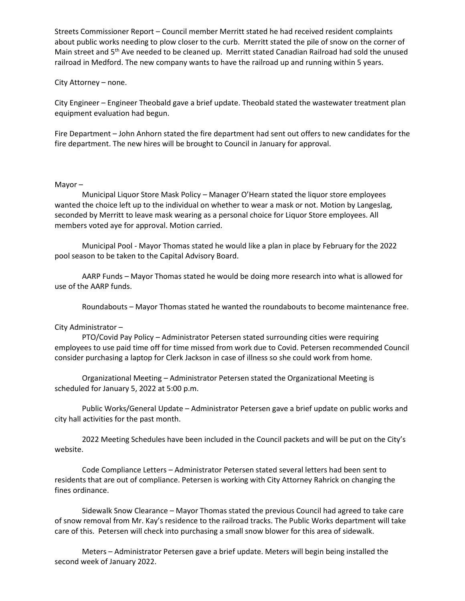Streets Commissioner Report – Council member Merritt stated he had received resident complaints about public works needing to plow closer to the curb. Merritt stated the pile of snow on the corner of Main street and 5th Ave needed to be cleaned up. Merritt stated Canadian Railroad had sold the unused railroad in Medford. The new company wants to have the railroad up and running within 5 years.

## City Attorney – none.

City Engineer – Engineer Theobald gave a brief update. Theobald stated the wastewater treatment plan equipment evaluation had begun.

Fire Department – John Anhorn stated the fire department had sent out offers to new candidates for the fire department. The new hires will be brought to Council in January for approval.

## Mayor –

Municipal Liquor Store Mask Policy – Manager O'Hearn stated the liquor store employees wanted the choice left up to the individual on whether to wear a mask or not. Motion by Langeslag, seconded by Merritt to leave mask wearing as a personal choice for Liquor Store employees. All members voted aye for approval. Motion carried.

Municipal Pool - Mayor Thomas stated he would like a plan in place by February for the 2022 pool season to be taken to the Capital Advisory Board.

AARP Funds – Mayor Thomas stated he would be doing more research into what is allowed for use of the AARP funds.

Roundabouts – Mayor Thomas stated he wanted the roundabouts to become maintenance free.

# City Administrator –

PTO/Covid Pay Policy – Administrator Petersen stated surrounding cities were requiring employees to use paid time off for time missed from work due to Covid. Petersen recommended Council consider purchasing a laptop for Clerk Jackson in case of illness so she could work from home.

Organizational Meeting – Administrator Petersen stated the Organizational Meeting is scheduled for January 5, 2022 at 5:00 p.m.

Public Works/General Update – Administrator Petersen gave a brief update on public works and city hall activities for the past month.

2022 Meeting Schedules have been included in the Council packets and will be put on the City's website.

Code Compliance Letters – Administrator Petersen stated several letters had been sent to residents that are out of compliance. Petersen is working with City Attorney Rahrick on changing the fines ordinance.

Sidewalk Snow Clearance – Mayor Thomas stated the previous Council had agreed to take care of snow removal from Mr. Kay's residence to the railroad tracks. The Public Works department will take care of this. Petersen will check into purchasing a small snow blower for this area of sidewalk.

Meters – Administrator Petersen gave a brief update. Meters will begin being installed the second week of January 2022.